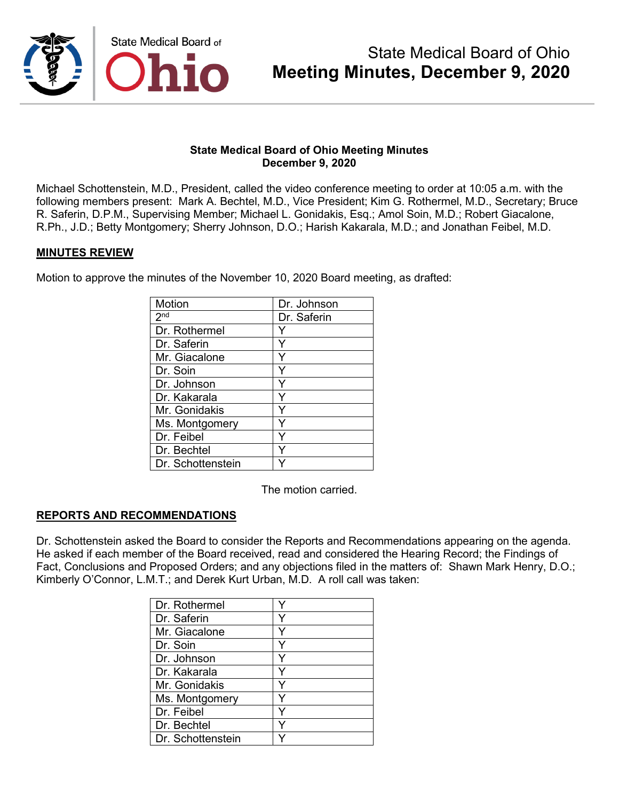

Michael Schottenstein, M.D., President, called the video conference meeting to order at 10:05 a.m. with the following members present: Mark A. Bechtel, M.D., Vice President; Kim G. Rothermel, M.D., Secretary; Bruce R. Saferin, D.P.M., Supervising Member; Michael L. Gonidakis, Esq.; Amol Soin, M.D.; Robert Giacalone, R.Ph., J.D.; Betty Montgomery; Sherry Johnson, D.O.; Harish Kakarala, M.D.; and Jonathan Feibel, M.D.

### **MINUTES REVIEW**

Motion to approve the minutes of the November 10, 2020 Board meeting, as drafted:

| Motion              | Dr. Johnson |
|---------------------|-------------|
| $2^{\overline{nd}}$ | Dr. Saferin |
| Dr. Rothermel       |             |
| Dr. Saferin         |             |
| Mr. Giacalone       |             |
| Dr. Soin            | Y           |
| Dr. Johnson         | Y           |
| Dr. Kakarala        | Y           |
| Mr. Gonidakis       |             |
| Ms. Montgomery      | ٧           |
| Dr. Feibel          | Y           |
| Dr. Bechtel         |             |
| Dr. Schottenstein   |             |

The motion carried.

## **REPORTS AND RECOMMENDATIONS**

Dr. Schottenstein asked the Board to consider the Reports and Recommendations appearing on the agenda. He asked if each member of the Board received, read and considered the Hearing Record; the Findings of Fact, Conclusions and Proposed Orders; and any objections filed in the matters of: Shawn Mark Henry, D.O.; Kimberly O'Connor, L.M.T.; and Derek Kurt Urban, M.D. A roll call was taken:

| Dr. Rothermel     |  |
|-------------------|--|
| Dr. Saferin       |  |
| Mr. Giacalone     |  |
| Dr. Soin          |  |
| Dr. Johnson       |  |
| Dr. Kakarala      |  |
| Mr. Gonidakis     |  |
| Ms. Montgomery    |  |
| Dr. Feibel        |  |
| Dr. Bechtel       |  |
| Dr. Schottenstein |  |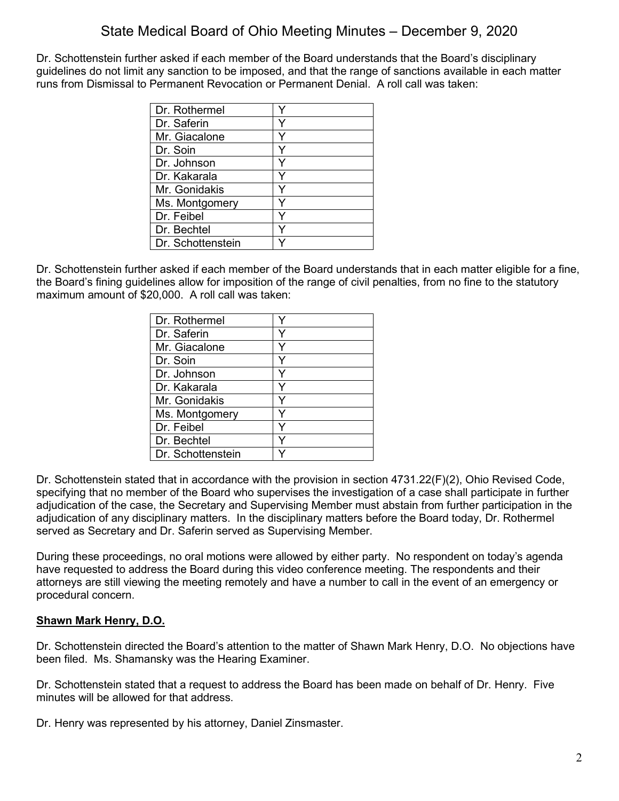Dr. Schottenstein further asked if each member of the Board understands that the Board's disciplinary guidelines do not limit any sanction to be imposed, and that the range of sanctions available in each matter runs from Dismissal to Permanent Revocation or Permanent Denial. A roll call was taken:

| Dr. Rothermel     |  |
|-------------------|--|
| Dr. Saferin       |  |
| Mr. Giacalone     |  |
| Dr. Soin          |  |
| Dr. Johnson       |  |
| Dr. Kakarala      |  |
| Mr. Gonidakis     |  |
| Ms. Montgomery    |  |
| Dr. Feibel        |  |
| Dr. Bechtel       |  |
| Dr. Schottenstein |  |

Dr. Schottenstein further asked if each member of the Board understands that in each matter eligible for a fine, the Board's fining guidelines allow for imposition of the range of civil penalties, from no fine to the statutory maximum amount of \$20,000. A roll call was taken:

| Dr. Rothermel     |   |
|-------------------|---|
| Dr. Saferin       |   |
| Mr. Giacalone     | Y |
| Dr. Soin          |   |
| Dr. Johnson       | ٧ |
| Dr. Kakarala      | v |
| Mr. Gonidakis     | Y |
| Ms. Montgomery    | Y |
| Dr. Feibel        | ٧ |
| Dr. Bechtel       |   |
| Dr. Schottenstein |   |

Dr. Schottenstein stated that in accordance with the provision in section 4731.22(F)(2), Ohio Revised Code, specifying that no member of the Board who supervises the investigation of a case shall participate in further adjudication of the case, the Secretary and Supervising Member must abstain from further participation in the adjudication of any disciplinary matters. In the disciplinary matters before the Board today, Dr. Rothermel served as Secretary and Dr. Saferin served as Supervising Member.

During these proceedings, no oral motions were allowed by either party. No respondent on today's agenda have requested to address the Board during this video conference meeting. The respondents and their attorneys are still viewing the meeting remotely and have a number to call in the event of an emergency or procedural concern.

## **Shawn Mark Henry, D.O.**

Dr. Schottenstein directed the Board's attention to the matter of Shawn Mark Henry, D.O. No objections have been filed. Ms. Shamansky was the Hearing Examiner.

Dr. Schottenstein stated that a request to address the Board has been made on behalf of Dr. Henry. Five minutes will be allowed for that address.

Dr. Henry was represented by his attorney, Daniel Zinsmaster.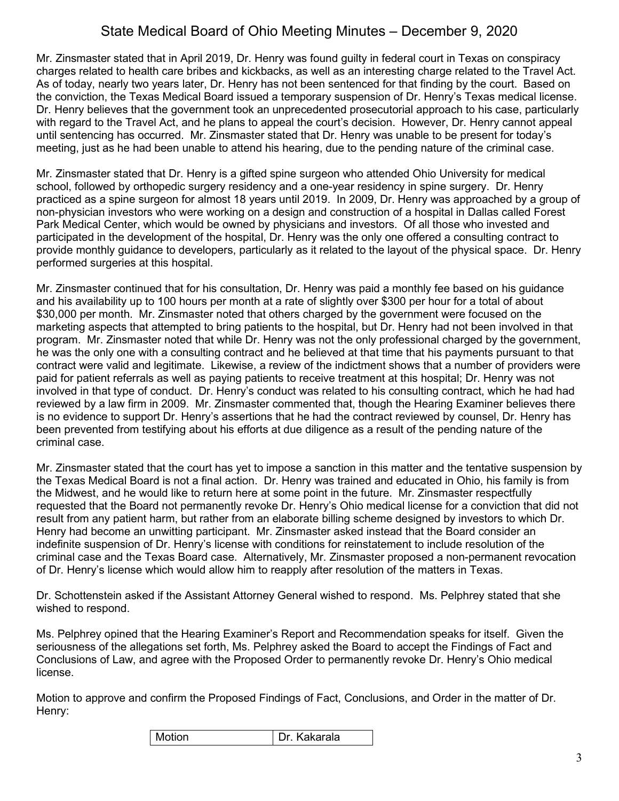Mr. Zinsmaster stated that in April 2019, Dr. Henry was found guilty in federal court in Texas on conspiracy charges related to health care bribes and kickbacks, as well as an interesting charge related to the Travel Act. As of today, nearly two years later, Dr. Henry has not been sentenced for that finding by the court. Based on the conviction, the Texas Medical Board issued a temporary suspension of Dr. Henry's Texas medical license. Dr. Henry believes that the government took an unprecedented prosecutorial approach to his case, particularly with regard to the Travel Act, and he plans to appeal the court's decision. However, Dr. Henry cannot appeal until sentencing has occurred. Mr. Zinsmaster stated that Dr. Henry was unable to be present for today's meeting, just as he had been unable to attend his hearing, due to the pending nature of the criminal case.

Mr. Zinsmaster stated that Dr. Henry is a gifted spine surgeon who attended Ohio University for medical school, followed by orthopedic surgery residency and a one-year residency in spine surgery. Dr. Henry practiced as a spine surgeon for almost 18 years until 2019. In 2009, Dr. Henry was approached by a group of non-physician investors who were working on a design and construction of a hospital in Dallas called Forest Park Medical Center, which would be owned by physicians and investors. Of all those who invested and participated in the development of the hospital, Dr. Henry was the only one offered a consulting contract to provide monthly guidance to developers, particularly as it related to the layout of the physical space. Dr. Henry performed surgeries at this hospital.

Mr. Zinsmaster continued that for his consultation, Dr. Henry was paid a monthly fee based on his guidance and his availability up to 100 hours per month at a rate of slightly over \$300 per hour for a total of about \$30,000 per month. Mr. Zinsmaster noted that others charged by the government were focused on the marketing aspects that attempted to bring patients to the hospital, but Dr. Henry had not been involved in that program. Mr. Zinsmaster noted that while Dr. Henry was not the only professional charged by the government, he was the only one with a consulting contract and he believed at that time that his payments pursuant to that contract were valid and legitimate. Likewise, a review of the indictment shows that a number of providers were paid for patient referrals as well as paying patients to receive treatment at this hospital; Dr. Henry was not involved in that type of conduct. Dr. Henry's conduct was related to his consulting contract, which he had had reviewed by a law firm in 2009. Mr. Zinsmaster commented that, though the Hearing Examiner believes there is no evidence to support Dr. Henry's assertions that he had the contract reviewed by counsel, Dr. Henry has been prevented from testifying about his efforts at due diligence as a result of the pending nature of the criminal case.

Mr. Zinsmaster stated that the court has yet to impose a sanction in this matter and the tentative suspension by the Texas Medical Board is not a final action. Dr. Henry was trained and educated in Ohio, his family is from the Midwest, and he would like to return here at some point in the future. Mr. Zinsmaster respectfully requested that the Board not permanently revoke Dr. Henry's Ohio medical license for a conviction that did not result from any patient harm, but rather from an elaborate billing scheme designed by investors to which Dr. Henry had become an unwitting participant. Mr. Zinsmaster asked instead that the Board consider an indefinite suspension of Dr. Henry's license with conditions for reinstatement to include resolution of the criminal case and the Texas Board case. Alternatively, Mr. Zinsmaster proposed a non-permanent revocation of Dr. Henry's license which would allow him to reapply after resolution of the matters in Texas.

Dr. Schottenstein asked if the Assistant Attorney General wished to respond. Ms. Pelphrey stated that she wished to respond.

Ms. Pelphrey opined that the Hearing Examiner's Report and Recommendation speaks for itself. Given the seriousness of the allegations set forth, Ms. Pelphrey asked the Board to accept the Findings of Fact and Conclusions of Law, and agree with the Proposed Order to permanently revoke Dr. Henry's Ohio medical license.

Motion to approve and confirm the Proposed Findings of Fact, Conclusions, and Order in the matter of Dr. Henry: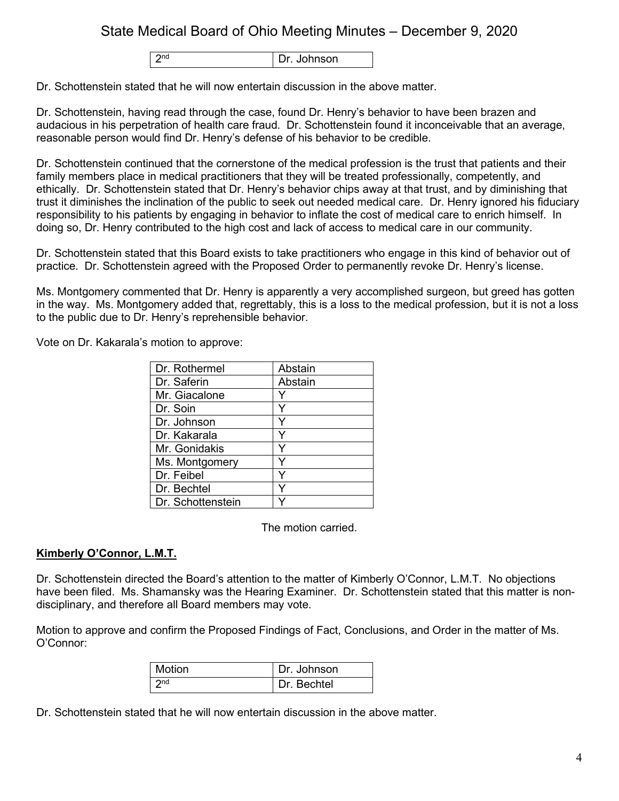2nd Dr. Johnson

Dr. Schottenstein stated that he will now entertain discussion in the above matter.

Dr. Schottenstein, having read through the case, found Dr. Henry's behavior to have been brazen and audacious in his perpetration of health care fraud. Dr. Schottenstein found it inconceivable that an average, reasonable person would find Dr. Henry's defense of his behavior to be credible.

Dr. Schottenstein continued that the cornerstone of the medical profession is the trust that patients and their family members place in medical practitioners that they will be treated professionally, competently, and ethically. Dr. Schottenstein stated that Dr. Henry's behavior chips away at that trust, and by diminishing that trust it diminishes the inclination of the public to seek out needed medical care. Dr. Henry ignored his fiduciary responsibility to his patients by engaging in behavior to inflate the cost of medical care to enrich himself. In doing so, Dr. Henry contributed to the high cost and lack of access to medical care in our community.

Dr. Schottenstein stated that this Board exists to take practitioners who engage in this kind of behavior out of practice. Dr. Schottenstein agreed with the Proposed Order to permanently revoke Dr. Henry's license.

Ms. Montgomery commented that Dr. Henry is apparently a very accomplished surgeon, but greed has gotten in the way. Ms. Montgomery added that, regrettably, this is a loss to the medical profession, but it is not a loss to the public due to Dr. Henry's reprehensible behavior.

Vote on Dr. Kakarala's motion to approve:

| Dr. Rothermel     | Abstain |
|-------------------|---------|
| Dr. Saferin       | Abstain |
| Mr. Giacalone     |         |
| Dr. Soin          | Y       |
| Dr. Johnson       |         |
| Dr. Kakarala      |         |
| Mr. Gonidakis     |         |
| Ms. Montgomery    |         |
| Dr. Feibel        |         |
| Dr. Bechtel       |         |
| Dr. Schottenstein |         |

The motion carried.

## **Kimberly O'Connor, L.M.T.**

Dr. Schottenstein directed the Board's attention to the matter of Kimberly O'Connor, L.M.T. No objections have been filed. Ms. Shamansky was the Hearing Examiner. Dr. Schottenstein stated that this matter is nondisciplinary, and therefore all Board members may vote.

Motion to approve and confirm the Proposed Findings of Fact, Conclusions, and Order in the matter of Ms. O'Connor:

| Motion          | Dr. Johnson   |
|-----------------|---------------|
| 2 <sub>nd</sub> | I Dr. Bechtel |

Dr. Schottenstein stated that he will now entertain discussion in the above matter.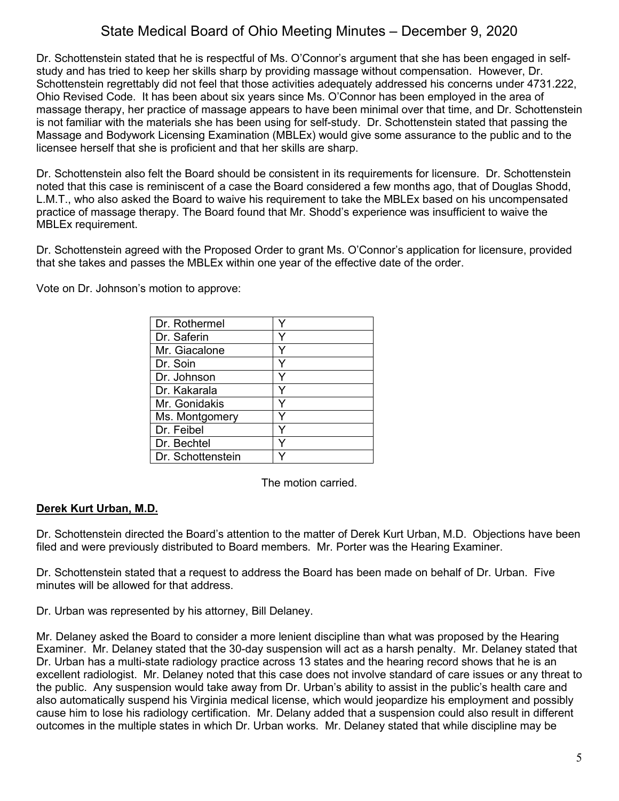Dr. Schottenstein stated that he is respectful of Ms. O'Connor's argument that she has been engaged in selfstudy and has tried to keep her skills sharp by providing massage without compensation. However, Dr. Schottenstein regrettably did not feel that those activities adequately addressed his concerns under 4731.222, Ohio Revised Code. It has been about six years since Ms. O'Connor has been employed in the area of massage therapy, her practice of massage appears to have been minimal over that time, and Dr. Schottenstein is not familiar with the materials she has been using for self-study. Dr. Schottenstein stated that passing the Massage and Bodywork Licensing Examination (MBLEx) would give some assurance to the public and to the licensee herself that she is proficient and that her skills are sharp.

Dr. Schottenstein also felt the Board should be consistent in its requirements for licensure. Dr. Schottenstein noted that this case is reminiscent of a case the Board considered a few months ago, that of Douglas Shodd, L.M.T., who also asked the Board to waive his requirement to take the MBLEx based on his uncompensated practice of massage therapy. The Board found that Mr. Shodd's experience was insufficient to waive the MBLEx requirement.

Dr. Schottenstein agreed with the Proposed Order to grant Ms. O'Connor's application for licensure, provided that she takes and passes the MBLEx within one year of the effective date of the order.

Vote on Dr. Johnson's motion to approve:

| Dr. Rothermel     |  |
|-------------------|--|
| Dr. Saferin       |  |
| Mr. Giacalone     |  |
| Dr. Soin          |  |
| Dr. Johnson       |  |
| Dr. Kakarala      |  |
| Mr. Gonidakis     |  |
| Ms. Montgomery    |  |
| Dr. Feibel        |  |
| Dr. Bechtel       |  |
| Dr. Schottenstein |  |

The motion carried.

## **Derek Kurt Urban, M.D.**

Dr. Schottenstein directed the Board's attention to the matter of Derek Kurt Urban, M.D. Objections have been filed and were previously distributed to Board members. Mr. Porter was the Hearing Examiner.

Dr. Schottenstein stated that a request to address the Board has been made on behalf of Dr. Urban. Five minutes will be allowed for that address.

Dr. Urban was represented by his attorney, Bill Delaney.

Mr. Delaney asked the Board to consider a more lenient discipline than what was proposed by the Hearing Examiner. Mr. Delaney stated that the 30-day suspension will act as a harsh penalty. Mr. Delaney stated that Dr. Urban has a multi-state radiology practice across 13 states and the hearing record shows that he is an excellent radiologist. Mr. Delaney noted that this case does not involve standard of care issues or any threat to the public. Any suspension would take away from Dr. Urban's ability to assist in the public's health care and also automatically suspend his Virginia medical license, which would jeopardize his employment and possibly cause him to lose his radiology certification. Mr. Delany added that a suspension could also result in different outcomes in the multiple states in which Dr. Urban works. Mr. Delaney stated that while discipline may be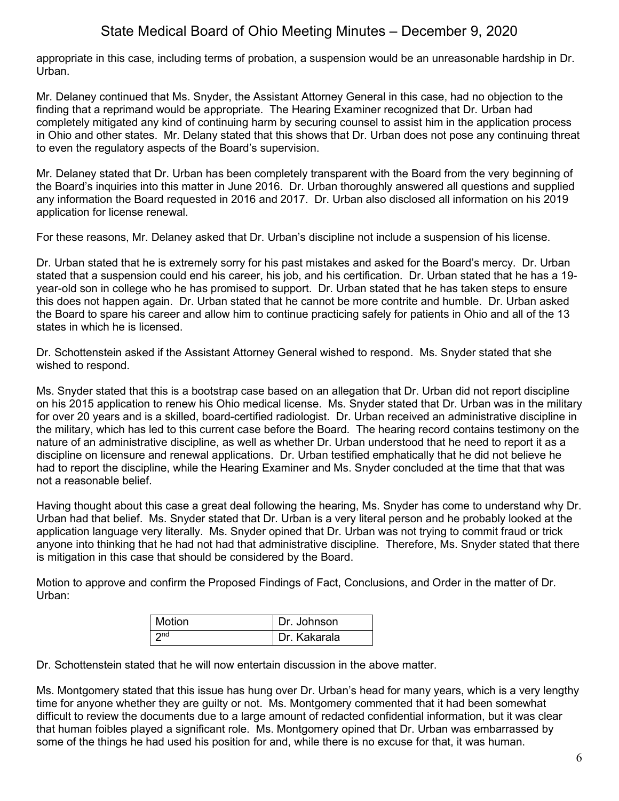appropriate in this case, including terms of probation, a suspension would be an unreasonable hardship in Dr. Urban.

Mr. Delaney continued that Ms. Snyder, the Assistant Attorney General in this case, had no objection to the finding that a reprimand would be appropriate. The Hearing Examiner recognized that Dr. Urban had completely mitigated any kind of continuing harm by securing counsel to assist him in the application process in Ohio and other states. Mr. Delany stated that this shows that Dr. Urban does not pose any continuing threat to even the regulatory aspects of the Board's supervision.

Mr. Delaney stated that Dr. Urban has been completely transparent with the Board from the very beginning of the Board's inquiries into this matter in June 2016. Dr. Urban thoroughly answered all questions and supplied any information the Board requested in 2016 and 2017. Dr. Urban also disclosed all information on his 2019 application for license renewal.

For these reasons, Mr. Delaney asked that Dr. Urban's discipline not include a suspension of his license.

Dr. Urban stated that he is extremely sorry for his past mistakes and asked for the Board's mercy. Dr. Urban stated that a suspension could end his career, his job, and his certification. Dr. Urban stated that he has a 19 year-old son in college who he has promised to support. Dr. Urban stated that he has taken steps to ensure this does not happen again. Dr. Urban stated that he cannot be more contrite and humble. Dr. Urban asked the Board to spare his career and allow him to continue practicing safely for patients in Ohio and all of the 13 states in which he is licensed.

Dr. Schottenstein asked if the Assistant Attorney General wished to respond. Ms. Snyder stated that she wished to respond.

Ms. Snyder stated that this is a bootstrap case based on an allegation that Dr. Urban did not report discipline on his 2015 application to renew his Ohio medical license. Ms. Snyder stated that Dr. Urban was in the military for over 20 years and is a skilled, board-certified radiologist. Dr. Urban received an administrative discipline in the military, which has led to this current case before the Board. The hearing record contains testimony on the nature of an administrative discipline, as well as whether Dr. Urban understood that he need to report it as a discipline on licensure and renewal applications. Dr. Urban testified emphatically that he did not believe he had to report the discipline, while the Hearing Examiner and Ms. Snyder concluded at the time that that was not a reasonable belief.

Having thought about this case a great deal following the hearing, Ms. Snyder has come to understand why Dr. Urban had that belief. Ms. Snyder stated that Dr. Urban is a very literal person and he probably looked at the application language very literally. Ms. Snyder opined that Dr. Urban was not trying to commit fraud or trick anyone into thinking that he had not had that administrative discipline. Therefore, Ms. Snyder stated that there is mitigation in this case that should be considered by the Board.

Motion to approve and confirm the Proposed Findings of Fact, Conclusions, and Order in the matter of Dr. Urban:

| Motion          | Dr. Johnson  |
|-----------------|--------------|
| 2 <sub>nd</sub> | Dr. Kakarala |

Dr. Schottenstein stated that he will now entertain discussion in the above matter.

Ms. Montgomery stated that this issue has hung over Dr. Urban's head for many years, which is a very lengthy time for anyone whether they are guilty or not. Ms. Montgomery commented that it had been somewhat difficult to review the documents due to a large amount of redacted confidential information, but it was clear that human foibles played a significant role. Ms. Montgomery opined that Dr. Urban was embarrassed by some of the things he had used his position for and, while there is no excuse for that, it was human.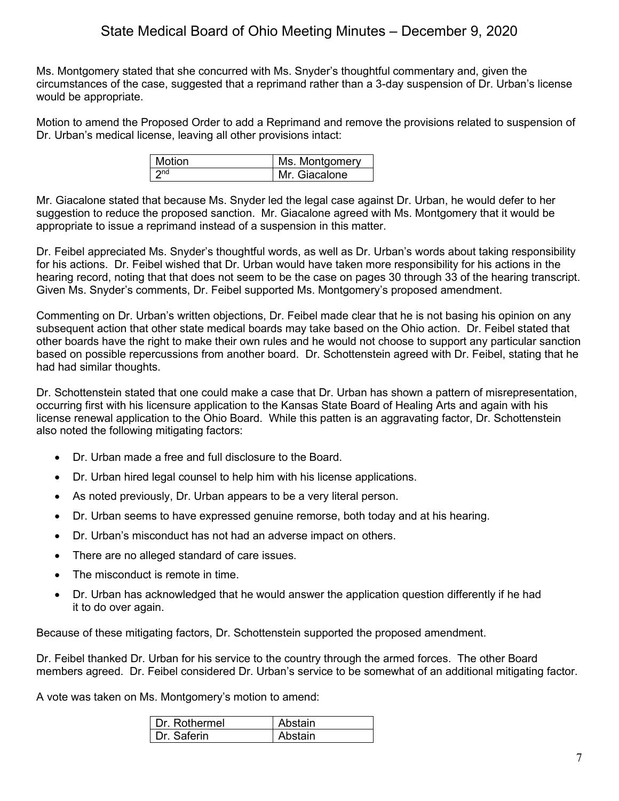Ms. Montgomery stated that she concurred with Ms. Snyder's thoughtful commentary and, given the circumstances of the case, suggested that a reprimand rather than a 3-day suspension of Dr. Urban's license would be appropriate.

Motion to amend the Proposed Order to add a Reprimand and remove the provisions related to suspension of Dr. Urban's medical license, leaving all other provisions intact:

| l Motion            | Ms. Montgomery |
|---------------------|----------------|
| $\vert$ $\gamma$ nd | Mr. Giacalone  |

Mr. Giacalone stated that because Ms. Snyder led the legal case against Dr. Urban, he would defer to her suggestion to reduce the proposed sanction. Mr. Giacalone agreed with Ms. Montgomery that it would be appropriate to issue a reprimand instead of a suspension in this matter.

Dr. Feibel appreciated Ms. Snyder's thoughtful words, as well as Dr. Urban's words about taking responsibility for his actions. Dr. Feibel wished that Dr. Urban would have taken more responsibility for his actions in the hearing record, noting that that does not seem to be the case on pages 30 through 33 of the hearing transcript. Given Ms. Snyder's comments, Dr. Feibel supported Ms. Montgomery's proposed amendment.

Commenting on Dr. Urban's written objections, Dr. Feibel made clear that he is not basing his opinion on any subsequent action that other state medical boards may take based on the Ohio action. Dr. Feibel stated that other boards have the right to make their own rules and he would not choose to support any particular sanction based on possible repercussions from another board. Dr. Schottenstein agreed with Dr. Feibel, stating that he had had similar thoughts.

Dr. Schottenstein stated that one could make a case that Dr. Urban has shown a pattern of misrepresentation, occurring first with his licensure application to the Kansas State Board of Healing Arts and again with his license renewal application to the Ohio Board. While this patten is an aggravating factor, Dr. Schottenstein also noted the following mitigating factors:

- Dr. Urban made a free and full disclosure to the Board.
- Dr. Urban hired legal counsel to help him with his license applications.
- As noted previously, Dr. Urban appears to be a very literal person.
- Dr. Urban seems to have expressed genuine remorse, both today and at his hearing.
- Dr. Urban's misconduct has not had an adverse impact on others.
- There are no alleged standard of care issues.
- The misconduct is remote in time.
- Dr. Urban has acknowledged that he would answer the application question differently if he had it to do over again.

Because of these mitigating factors, Dr. Schottenstein supported the proposed amendment.

Dr. Feibel thanked Dr. Urban for his service to the country through the armed forces. The other Board members agreed. Dr. Feibel considered Dr. Urban's service to be somewhat of an additional mitigating factor.

A vote was taken on Ms. Montgomery's motion to amend:

| Dr Rothermel | Abstain |
|--------------|---------|
| Dr Saferin   | Abstain |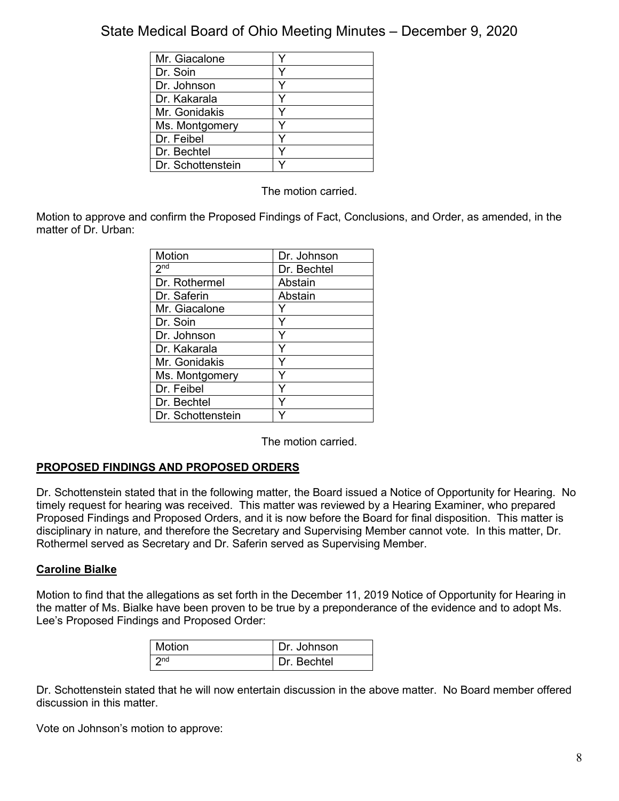| Mr. Giacalone     |  |
|-------------------|--|
| Dr. Soin          |  |
| Dr. Johnson       |  |
| Dr. Kakarala      |  |
| Mr. Gonidakis     |  |
| Ms. Montgomery    |  |
| Dr. Feibel        |  |
| Dr. Bechtel       |  |
| Dr. Schottenstein |  |

The motion carried.

Motion to approve and confirm the Proposed Findings of Fact, Conclusions, and Order, as amended, in the matter of Dr. Urban:

| Motion            | Dr. Johnson |
|-------------------|-------------|
| 2 <sub>nd</sub>   | Dr. Bechtel |
| Dr. Rothermel     | Abstain     |
| Dr. Saferin       | Abstain     |
| Mr. Giacalone     |             |
| Dr. Soin          | Y           |
| Dr. Johnson       | Y           |
| Dr. Kakarala      | Y           |
| Mr. Gonidakis     | ٧           |
| Ms. Montgomery    |             |
| Dr. Feibel        |             |
| Dr. Bechtel       |             |
| Dr. Schottenstein |             |

The motion carried.

## **PROPOSED FINDINGS AND PROPOSED ORDERS**

Dr. Schottenstein stated that in the following matter, the Board issued a Notice of Opportunity for Hearing. No timely request for hearing was received. This matter was reviewed by a Hearing Examiner, who prepared Proposed Findings and Proposed Orders, and it is now before the Board for final disposition. This matter is disciplinary in nature, and therefore the Secretary and Supervising Member cannot vote. In this matter, Dr. Rothermel served as Secretary and Dr. Saferin served as Supervising Member.

### **Caroline Bialke**

Motion to find that the allegations as set forth in the December 11, 2019 Notice of Opportunity for Hearing in the matter of Ms. Bialke have been proven to be true by a preponderance of the evidence and to adopt Ms. Lee's Proposed Findings and Proposed Order:

| Motion          | Dr. Johnson |
|-----------------|-------------|
| 2n <sub>d</sub> | Dr. Bechtel |

Dr. Schottenstein stated that he will now entertain discussion in the above matter. No Board member offered discussion in this matter.

Vote on Johnson's motion to approve: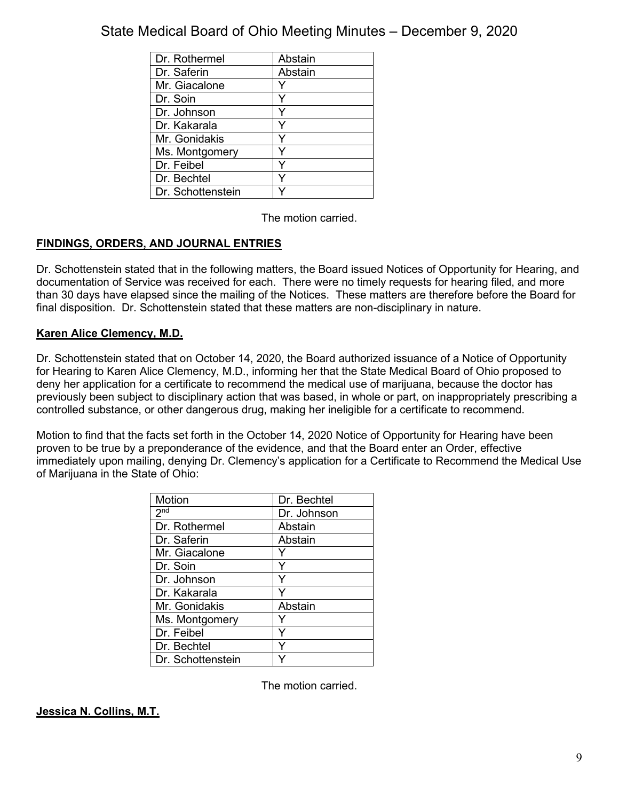| Dr. Rothermel     | Abstain |
|-------------------|---------|
| Dr. Saferin       | Abstain |
| Mr. Giacalone     |         |
| Dr. Soin          | v       |
| Dr. Johnson       |         |
| Dr. Kakarala      | Y       |
| Mr. Gonidakis     |         |
| Ms. Montgomery    |         |
| Dr. Feibel        | Y       |
| Dr. Bechtel       |         |
| Dr. Schottenstein |         |

The motion carried.

## **FINDINGS, ORDERS, AND JOURNAL ENTRIES**

Dr. Schottenstein stated that in the following matters, the Board issued Notices of Opportunity for Hearing, and documentation of Service was received for each. There were no timely requests for hearing filed, and more than 30 days have elapsed since the mailing of the Notices. These matters are therefore before the Board for final disposition. Dr. Schottenstein stated that these matters are non-disciplinary in nature.

## **Karen Alice Clemency, M.D.**

Dr. Schottenstein stated that on October 14, 2020, the Board authorized issuance of a Notice of Opportunity for Hearing to Karen Alice Clemency, M.D., informing her that the State Medical Board of Ohio proposed to deny her application for a certificate to recommend the medical use of marijuana, because the doctor has previously been subject to disciplinary action that was based, in whole or part, on inappropriately prescribing a controlled substance, or other dangerous drug, making her ineligible for a certificate to recommend.

Motion to find that the facts set forth in the October 14, 2020 Notice of Opportunity for Hearing have been proven to be true by a preponderance of the evidence, and that the Board enter an Order, effective immediately upon mailing, denying Dr. Clemency's application for a Certificate to Recommend the Medical Use of Marijuana in the State of Ohio:

| Motion            | Dr. Bechtel |
|-------------------|-------------|
| 2 <sup>nd</sup>   | Dr. Johnson |
| Dr. Rothermel     | Abstain     |
| Dr. Saferin       | Abstain     |
| Mr. Giacalone     |             |
| Dr. Soin          | Y           |
| Dr. Johnson       | Y           |
| Dr. Kakarala      |             |
| Mr. Gonidakis     | Abstain     |
| Ms. Montgomery    |             |
| Dr. Feibel        |             |
| Dr. Bechtel       |             |
| Dr. Schottenstein |             |

The motion carried.

## **Jessica N. Collins, M.T.**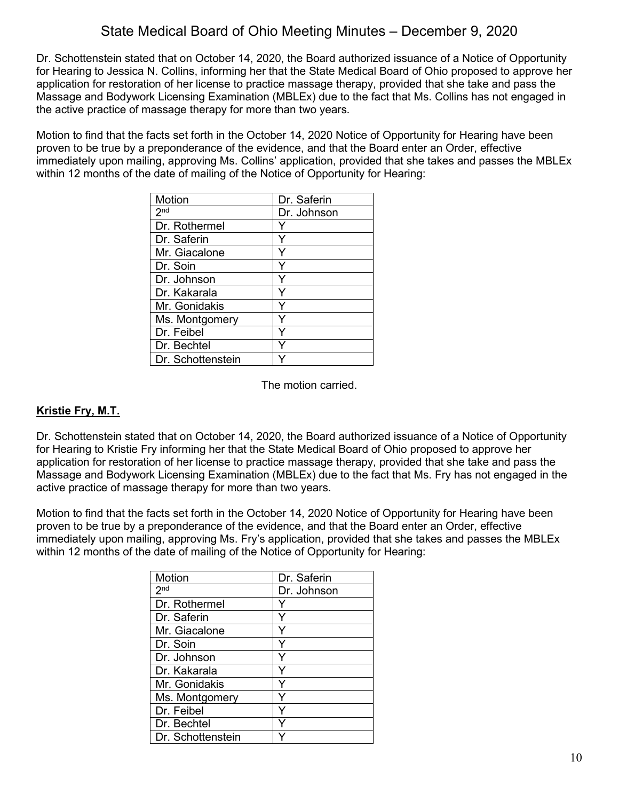Dr. Schottenstein stated that on October 14, 2020, the Board authorized issuance of a Notice of Opportunity for Hearing to Jessica N. Collins, informing her that the State Medical Board of Ohio proposed to approve her application for restoration of her license to practice massage therapy, provided that she take and pass the Massage and Bodywork Licensing Examination (MBLEx) due to the fact that Ms. Collins has not engaged in the active practice of massage therapy for more than two years.

Motion to find that the facts set forth in the October 14, 2020 Notice of Opportunity for Hearing have been proven to be true by a preponderance of the evidence, and that the Board enter an Order, effective immediately upon mailing, approving Ms. Collins' application, provided that she takes and passes the MBLEx within 12 months of the date of mailing of the Notice of Opportunity for Hearing:

| Motion            | Dr. Saferin |
|-------------------|-------------|
| 2 <sub>nd</sub>   | Dr. Johnson |
| Dr. Rothermel     |             |
| Dr. Saferin       |             |
| Mr. Giacalone     | Y           |
| Dr. Soin          |             |
| Dr. Johnson       |             |
| Dr. Kakarala      |             |
| Mr. Gonidakis     | Y           |
| Ms. Montgomery    |             |
| Dr. Feibel        |             |
| Dr. Bechtel       |             |
| Dr. Schottenstein |             |

The motion carried.

## **Kristie Fry, M.T.**

Dr. Schottenstein stated that on October 14, 2020, the Board authorized issuance of a Notice of Opportunity for Hearing to Kristie Fry informing her that the State Medical Board of Ohio proposed to approve her application for restoration of her license to practice massage therapy, provided that she take and pass the Massage and Bodywork Licensing Examination (MBLEx) due to the fact that Ms. Fry has not engaged in the active practice of massage therapy for more than two years.

Motion to find that the facts set forth in the October 14, 2020 Notice of Opportunity for Hearing have been proven to be true by a preponderance of the evidence, and that the Board enter an Order, effective immediately upon mailing, approving Ms. Fry's application, provided that she takes and passes the MBLEx within 12 months of the date of mailing of the Notice of Opportunity for Hearing:

| Motion            | Dr. Saferin |
|-------------------|-------------|
| 2 <sub>nd</sub>   | Dr. Johnson |
| Dr. Rothermel     | Y           |
| Dr. Saferin       | Y           |
| Mr. Giacalone     | Y           |
| Dr. Soin          | Y           |
| Dr. Johnson       |             |
| Dr. Kakarala      | Y           |
| Mr. Gonidakis     | Y           |
| Ms. Montgomery    |             |
| Dr. Feibel        | Y           |
| Dr. Bechtel       |             |
| Dr. Schottenstein |             |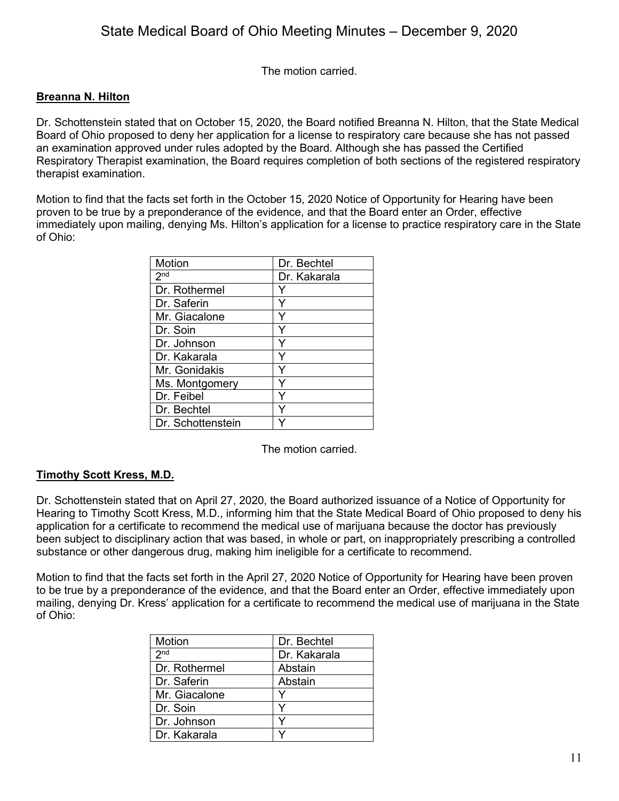The motion carried.

### **Breanna N. Hilton**

Dr. Schottenstein stated that on October 15, 2020, the Board notified Breanna N. Hilton, that the State Medical Board of Ohio proposed to deny her application for a license to respiratory care because she has not passed an examination approved under rules adopted by the Board. Although she has passed the Certified Respiratory Therapist examination, the Board requires completion of both sections of the registered respiratory therapist examination.

Motion to find that the facts set forth in the October 15, 2020 Notice of Opportunity for Hearing have been proven to be true by a preponderance of the evidence, and that the Board enter an Order, effective immediately upon mailing, denying Ms. Hilton's application for a license to practice respiratory care in the State of Ohio:

| Motion            | Dr. Bechtel  |
|-------------------|--------------|
| 2 <sub>nd</sub>   | Dr. Kakarala |
| Dr. Rothermel     |              |
| Dr. Saferin       |              |
| Mr. Giacalone     |              |
| Dr. Soin          |              |
| Dr. Johnson       | ٧            |
| Dr. Kakarala      | Y            |
| Mr. Gonidakis     | ∨            |
| Ms. Montgomery    |              |
| Dr. Feibel        |              |
| Dr. Bechtel       |              |
| Dr. Schottenstein |              |

The motion carried.

### **Timothy Scott Kress, M.D.**

Dr. Schottenstein stated that on April 27, 2020, the Board authorized issuance of a Notice of Opportunity for Hearing to Timothy Scott Kress, M.D., informing him that the State Medical Board of Ohio proposed to deny his application for a certificate to recommend the medical use of marijuana because the doctor has previously been subject to disciplinary action that was based, in whole or part, on inappropriately prescribing a controlled substance or other dangerous drug, making him ineligible for a certificate to recommend.

Motion to find that the facts set forth in the April 27, 2020 Notice of Opportunity for Hearing have been proven to be true by a preponderance of the evidence, and that the Board enter an Order, effective immediately upon mailing, denying Dr. Kress' application for a certificate to recommend the medical use of marijuana in the State of Ohio:

| Motion          | Dr. Bechtel  |
|-----------------|--------------|
| 2 <sub>nd</sub> | Dr. Kakarala |
| Dr. Rothermel   | Abstain      |
| Dr. Saferin     | Abstain      |
| Mr. Giacalone   |              |
| Dr. Soin        |              |
| Dr. Johnson     |              |
| Dr. Kakarala    |              |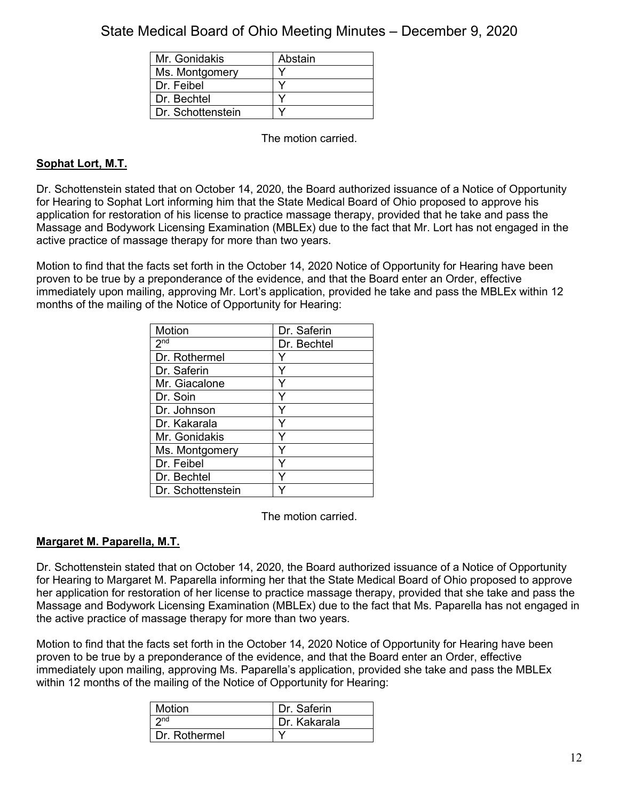| Mr. Gonidakis     | Abstain |
|-------------------|---------|
| Ms. Montgomery    |         |
| Dr. Feibel        |         |
| Dr. Bechtel       |         |
| Dr. Schottenstein |         |

The motion carried.

## **Sophat Lort, M.T.**

Dr. Schottenstein stated that on October 14, 2020, the Board authorized issuance of a Notice of Opportunity for Hearing to Sophat Lort informing him that the State Medical Board of Ohio proposed to approve his application for restoration of his license to practice massage therapy, provided that he take and pass the Massage and Bodywork Licensing Examination (MBLEx) due to the fact that Mr. Lort has not engaged in the active practice of massage therapy for more than two years.

Motion to find that the facts set forth in the October 14, 2020 Notice of Opportunity for Hearing have been proven to be true by a preponderance of the evidence, and that the Board enter an Order, effective immediately upon mailing, approving Mr. Lort's application, provided he take and pass the MBLEx within 12 months of the mailing of the Notice of Opportunity for Hearing:

| Motion            | Dr. Saferin |
|-------------------|-------------|
| 2 <sub>nd</sub>   | Dr. Bechtel |
| Dr. Rothermel     |             |
| Dr. Saferin       | Υ           |
| Mr. Giacalone     |             |
| Dr. Soin          |             |
| Dr. Johnson       | Y           |
| Dr. Kakarala      | Y           |
| Mr. Gonidakis     |             |
| Ms. Montgomery    | Υ           |
| Dr. Feibel        | Υ           |
| Dr. Bechtel       |             |
| Dr. Schottenstein |             |

The motion carried.

## **Margaret M. Paparella, M.T.**

Dr. Schottenstein stated that on October 14, 2020, the Board authorized issuance of a Notice of Opportunity for Hearing to Margaret M. Paparella informing her that the State Medical Board of Ohio proposed to approve her application for restoration of her license to practice massage therapy, provided that she take and pass the Massage and Bodywork Licensing Examination (MBLEx) due to the fact that Ms. Paparella has not engaged in the active practice of massage therapy for more than two years.

Motion to find that the facts set forth in the October 14, 2020 Notice of Opportunity for Hearing have been proven to be true by a preponderance of the evidence, and that the Board enter an Order, effective immediately upon mailing, approving Ms. Paparella's application, provided she take and pass the MBLEx within 12 months of the mailing of the Notice of Opportunity for Hearing:

| Motion          | Dr. Saferin  |
|-----------------|--------------|
| 2 <sub>nd</sub> | Dr. Kakarala |
| Dr. Rothermel   |              |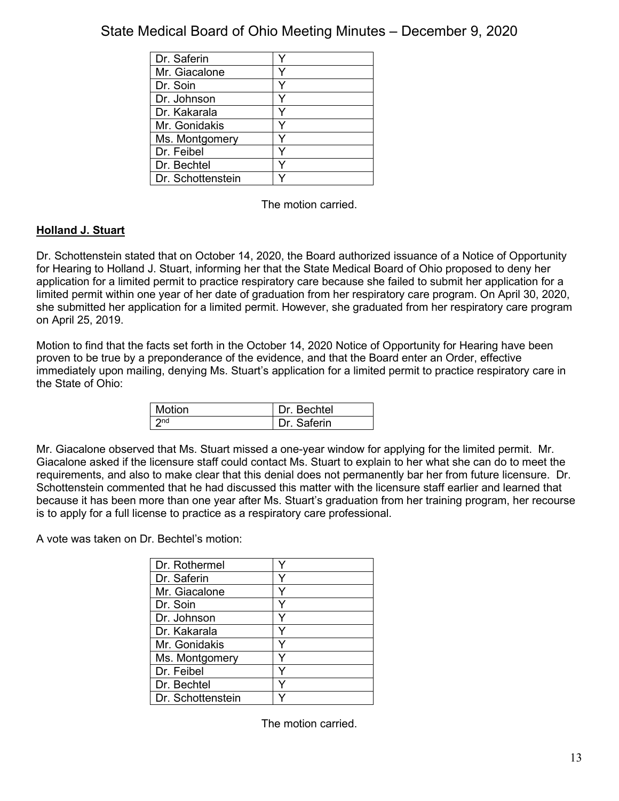| Dr. Saferin       |  |
|-------------------|--|
| Mr. Giacalone     |  |
| Dr. Soin          |  |
| Dr. Johnson       |  |
| Dr. Kakarala      |  |
| Mr. Gonidakis     |  |
| Ms. Montgomery    |  |
| Dr. Feibel        |  |
| Dr. Bechtel       |  |
| Dr. Schottenstein |  |

The motion carried.

## **Holland J. Stuart**

Dr. Schottenstein stated that on October 14, 2020, the Board authorized issuance of a Notice of Opportunity for Hearing to Holland J. Stuart, informing her that the State Medical Board of Ohio proposed to deny her application for a limited permit to practice respiratory care because she failed to submit her application for a limited permit within one year of her date of graduation from her respiratory care program. On April 30, 2020, she submitted her application for a limited permit. However, she graduated from her respiratory care program on April 25, 2019.

Motion to find that the facts set forth in the October 14, 2020 Notice of Opportunity for Hearing have been proven to be true by a preponderance of the evidence, and that the Board enter an Order, effective immediately upon mailing, denying Ms. Stuart's application for a limited permit to practice respiratory care in the State of Ohio:

| Motion          | Dr. Bechtel |
|-----------------|-------------|
| 2n <sub>d</sub> | Dr Saferin  |

Mr. Giacalone observed that Ms. Stuart missed a one-year window for applying for the limited permit. Mr. Giacalone asked if the licensure staff could contact Ms. Stuart to explain to her what she can do to meet the requirements, and also to make clear that this denial does not permanently bar her from future licensure. Dr. Schottenstein commented that he had discussed this matter with the licensure staff earlier and learned that because it has been more than one year after Ms. Stuart's graduation from her training program, her recourse is to apply for a full license to practice as a respiratory care professional.

A vote was taken on Dr. Bechtel's motion:

| Dr. Rothermel     |  |
|-------------------|--|
| Dr. Saferin       |  |
| Mr. Giacalone     |  |
| Dr. Soin          |  |
| Dr. Johnson       |  |
| Dr. Kakarala      |  |
| Mr. Gonidakis     |  |
| Ms. Montgomery    |  |
| Dr. Feibel        |  |
| Dr. Bechtel       |  |
| Dr. Schottenstein |  |

The motion carried.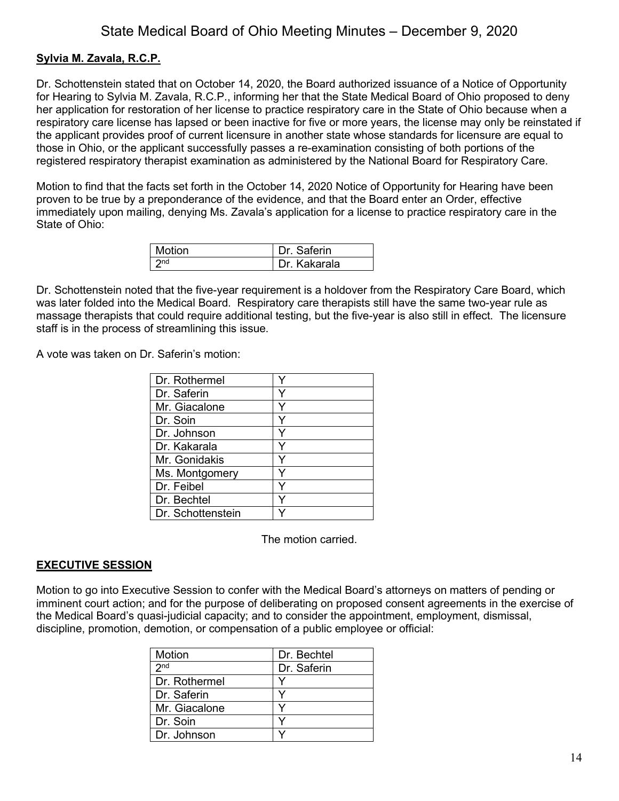### **Sylvia M. Zavala, R.C.P.**

Dr. Schottenstein stated that on October 14, 2020, the Board authorized issuance of a Notice of Opportunity for Hearing to Sylvia M. Zavala, R.C.P., informing her that the State Medical Board of Ohio proposed to deny her application for restoration of her license to practice respiratory care in the State of Ohio because when a respiratory care license has lapsed or been inactive for five or more years, the license may only be reinstated if the applicant provides proof of current licensure in another state whose standards for licensure are equal to those in Ohio, or the applicant successfully passes a re-examination consisting of both portions of the registered respiratory therapist examination as administered by the National Board for Respiratory Care.

Motion to find that the facts set forth in the October 14, 2020 Notice of Opportunity for Hearing have been proven to be true by a preponderance of the evidence, and that the Board enter an Order, effective immediately upon mailing, denying Ms. Zavala's application for a license to practice respiratory care in the State of Ohio:

| Motion        | Dr Saferin   |
|---------------|--------------|
| ∣ <b>∍</b> nd | Dr. Kakarala |

Dr. Schottenstein noted that the five-year requirement is a holdover from the Respiratory Care Board, which was later folded into the Medical Board. Respiratory care therapists still have the same two-year rule as massage therapists that could require additional testing, but the five-year is also still in effect. The licensure staff is in the process of streamlining this issue.

A vote was taken on Dr. Saferin's motion:

| Dr. Rothermel     |   |
|-------------------|---|
| Dr. Saferin       |   |
| Mr. Giacalone     |   |
| Dr. Soin          | ٧ |
| Dr. Johnson       |   |
| Dr. Kakarala      | Y |
| Mr. Gonidakis     | Y |
| Ms. Montgomery    |   |
| Dr. Feibel        |   |
| Dr. Bechtel       |   |
| Dr. Schottenstein |   |

The motion carried.

#### **EXECUTIVE SESSION**

Motion to go into Executive Session to confer with the Medical Board's attorneys on matters of pending or imminent court action; and for the purpose of deliberating on proposed consent agreements in the exercise of the Medical Board's quasi-judicial capacity; and to consider the appointment, employment, dismissal, discipline, promotion, demotion, or compensation of a public employee or official:

| Motion          | Dr. Bechtel |
|-----------------|-------------|
| 2 <sub>nd</sub> | Dr. Saferin |
| Dr. Rothermel   |             |
| l Dr. Saferin   |             |
| Mr. Giacalone   |             |
| Dr. Soin        |             |
| Dr. Johnson     |             |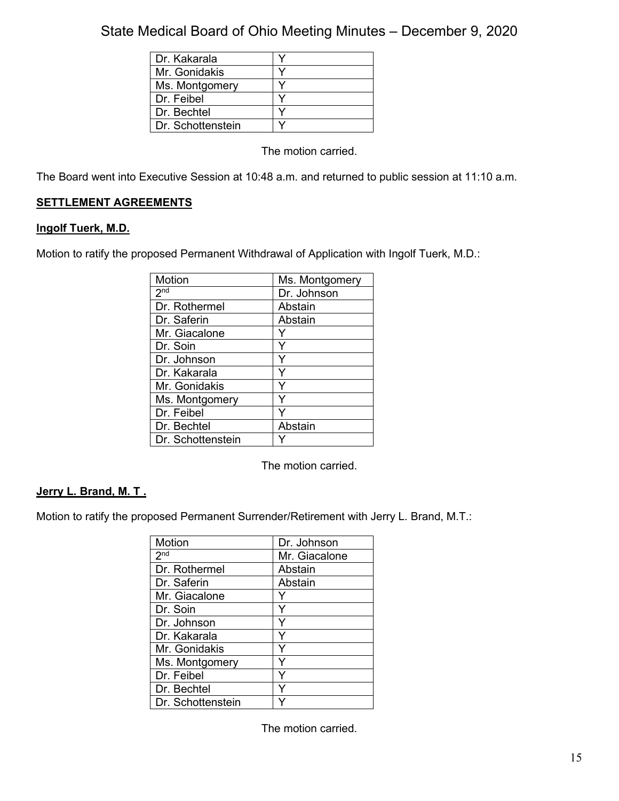| Dr. Kakarala      |  |
|-------------------|--|
| Mr. Gonidakis     |  |
| Ms. Montgomery    |  |
| Dr. Feibel        |  |
| Dr. Bechtel       |  |
| Dr. Schottenstein |  |

The motion carried.

The Board went into Executive Session at 10:48 a.m. and returned to public session at 11:10 a.m.

## **SETTLEMENT AGREEMENTS**

### **lngolf Tuerk, M.D.**

Motion to ratify the proposed Permanent Withdrawal of Application with Ingolf Tuerk, M.D.:

| <b>Motion</b>     | Ms. Montgomery |
|-------------------|----------------|
| 2 <sup>nd</sup>   | Dr. Johnson    |
| Dr. Rothermel     | Abstain        |
| Dr. Saferin       | Abstain        |
| Mr. Giacalone     |                |
| Dr. Soin          | Y              |
| Dr. Johnson       | Y              |
| Dr. Kakarala      | Y              |
| Mr. Gonidakis     |                |
| Ms. Montgomery    | ∨              |
| Dr. Feibel        |                |
| Dr. Bechtel       | Abstain        |
| Dr. Schottenstein |                |

The motion carried.

### **Jerry L. Brand, M. T .**

Motion to ratify the proposed Permanent Surrender/Retirement with Jerry L. Brand, M.T.:

| Motion            | Dr. Johnson   |
|-------------------|---------------|
| 2 <sub>nd</sub>   | Mr. Giacalone |
| Dr. Rothermel     | Abstain       |
| Dr. Saferin       | Abstain       |
| Mr. Giacalone     |               |
| Dr. Soin          | Y             |
| Dr. Johnson       | Y             |
| Dr. Kakarala      | Y             |
| Mr. Gonidakis     | Y             |
| Ms. Montgomery    | Υ             |
| Dr. Feibel        |               |
| Dr. Bechtel       |               |
| Dr. Schottenstein |               |

The motion carried.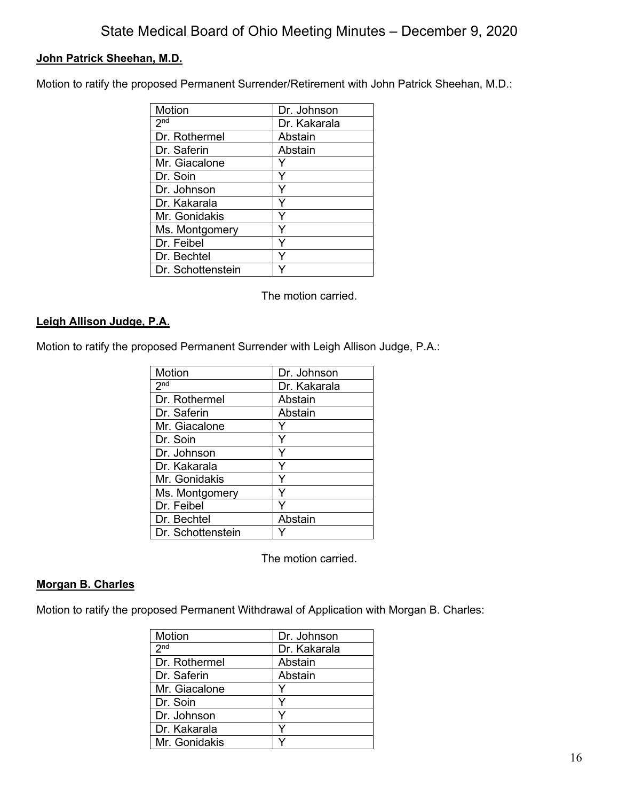## **John Patrick Sheehan, M.D.**

Motion to ratify the proposed Permanent Surrender/Retirement with John Patrick Sheehan, M.D.:

| Motion            | Dr. Johnson  |
|-------------------|--------------|
| 2 <sup>nd</sup>   | Dr. Kakarala |
| Dr. Rothermel     | Abstain      |
| Dr. Saferin       | Abstain      |
| Mr. Giacalone     |              |
| Dr. Soin          |              |
| Dr. Johnson       | Y            |
| Dr. Kakarala      | Y            |
| Mr. Gonidakis     | Y            |
| Ms. Montgomery    |              |
| Dr. Feibel        |              |
| Dr. Bechtel       |              |
| Dr. Schottenstein |              |

The motion carried.

### **Leigh Allison Judge, P.A.**

Motion to ratify the proposed Permanent Surrender with Leigh Allison Judge, P.A.:

| Motion            | Dr. Johnson  |
|-------------------|--------------|
| 2 <sub>nd</sub>   | Dr. Kakarala |
| Dr. Rothermel     | Abstain      |
| Dr. Saferin       | Abstain      |
| Mr. Giacalone     |              |
| Dr. Soin          | Y            |
| Dr. Johnson       | Y            |
| Dr. Kakarala      | Y            |
| Mr. Gonidakis     | Y            |
| Ms. Montgomery    | Υ            |
| Dr. Feibel        |              |
| Dr. Bechtel       | Abstain      |
| Dr. Schottenstein |              |

The motion carried.

## **Morgan B. Charles**

Motion to ratify the proposed Permanent Withdrawal of Application with Morgan B. Charles:

| Motion          | Dr. Johnson  |
|-----------------|--------------|
| 2 <sup>nd</sup> | Dr. Kakarala |
| Dr. Rothermel   | Abstain      |
| Dr. Saferin     | Abstain      |
| Mr. Giacalone   | Y            |
| Dr. Soin        |              |
| Dr. Johnson     |              |
| Dr. Kakarala    |              |
| Mr. Gonidakis   |              |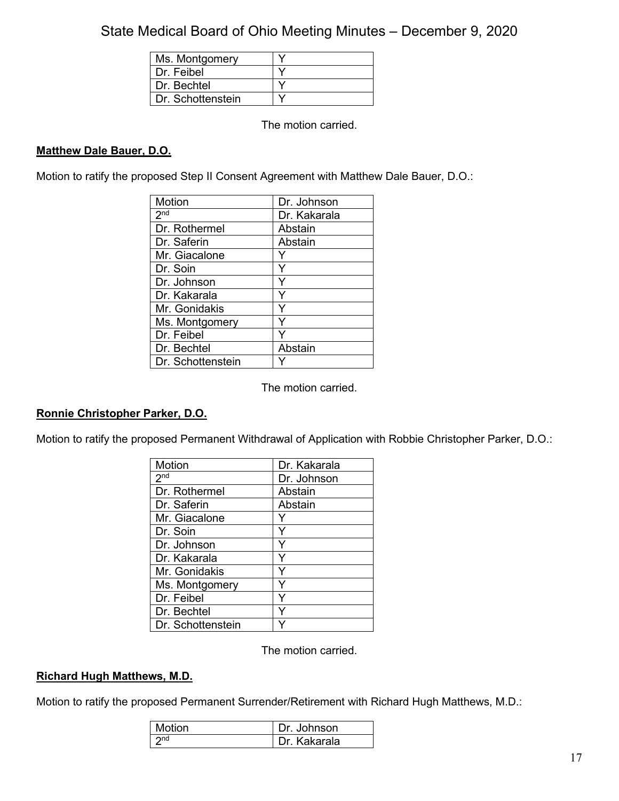| Ms. Montgomery    |  |
|-------------------|--|
| Dr. Feibel        |  |
| Dr Bechtel        |  |
| Dr. Schottenstein |  |

The motion carried.

### **Matthew Dale Bauer, D.O.**

Motion to ratify the proposed Step II Consent Agreement with Matthew Dale Bauer, D.O.:

| Motion            | Dr. Johnson  |
|-------------------|--------------|
| 2 <sub>nd</sub>   | Dr. Kakarala |
| Dr. Rothermel     | Abstain      |
| Dr. Saferin       | Abstain      |
| Mr. Giacalone     |              |
| Dr. Soin          |              |
| Dr. Johnson       | Y            |
| Dr. Kakarala      | Y            |
| Mr. Gonidakis     | Y            |
| Ms. Montgomery    |              |
| Dr. Feibel        |              |
| Dr. Bechtel       | Abstain      |
| Dr. Schottenstein |              |

The motion carried.

### **Ronnie Christopher Parker, D.O.**

Motion to ratify the proposed Permanent Withdrawal of Application with Robbie Christopher Parker, D.O.:

| Motion            | Dr. Kakarala |
|-------------------|--------------|
| 2 <sub>nd</sub>   | Dr. Johnson  |
| Dr. Rothermel     | Abstain      |
| Dr. Saferin       | Abstain      |
| Mr. Giacalone     |              |
| Dr. Soin          | Y            |
| Dr. Johnson       | Y            |
| Dr. Kakarala      | Y            |
| Mr. Gonidakis     | Y            |
| Ms. Montgomery    | Y            |
| Dr. Feibel        | Y            |
| Dr. Bechtel       |              |
| Dr. Schottenstein |              |

The motion carried.

#### **Richard Hugh Matthews, M.D.**

Motion to ratify the proposed Permanent Surrender/Retirement with Richard Hugh Matthews, M.D.:

| Motion          | Dr. Johnson   |
|-----------------|---------------|
| 2n <sub>d</sub> | ⊩Dr. Kakarala |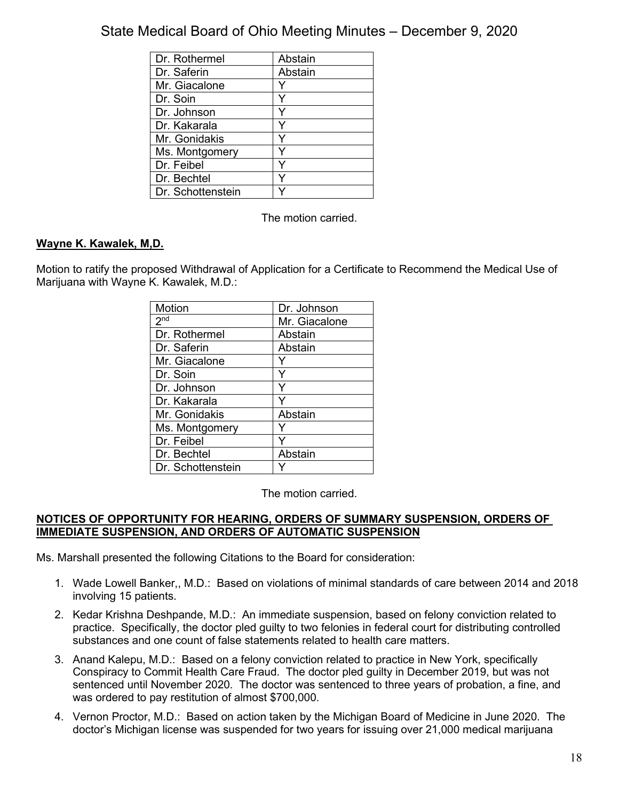| Dr. Rothermel     | Abstain |
|-------------------|---------|
| Dr. Saferin       | Abstain |
| Mr. Giacalone     |         |
| Dr. Soin          |         |
| Dr. Johnson       |         |
| Dr. Kakarala      |         |
| Mr. Gonidakis     |         |
| Ms. Montgomery    |         |
| Dr. Feibel        | ٧       |
| Dr. Bechtel       |         |
| Dr. Schottenstein |         |

The motion carried.

## **Wayne K. Kawalek, M,D.**

Motion to ratify the proposed Withdrawal of Application for a Certificate to Recommend the Medical Use of Marijuana with Wayne K. Kawalek, M.D.:

| Motion            | Dr. Johnson   |
|-------------------|---------------|
| 2 <sub>nd</sub>   | Mr. Giacalone |
| Dr. Rothermel     | Abstain       |
| Dr. Saferin       | Abstain       |
| Mr. Giacalone     |               |
| Dr. Soin          | Y             |
| Dr. Johnson       | Y             |
| Dr. Kakarala      |               |
| Mr. Gonidakis     | Abstain       |
| Ms. Montgomery    |               |
| Dr. Feibel        |               |
| Dr. Bechtel       | Abstain       |
| Dr. Schottenstein |               |

The motion carried.

### **NOTICES OF OPPORTUNITY FOR HEARING, ORDERS OF SUMMARY SUSPENSION, ORDERS OF IMMEDIATE SUSPENSION, AND ORDERS OF AUTOMATIC SUSPENSION**

Ms. Marshall presented the following Citations to the Board for consideration:

- 1. Wade Lowell Banker,, M.D.: Based on violations of minimal standards of care between 2014 and 2018 involving 15 patients.
- 2. Kedar Krishna Deshpande, M.D.: An immediate suspension, based on felony conviction related to practice. Specifically, the doctor pled guilty to two felonies in federal court for distributing controlled substances and one count of false statements related to health care matters.
- 3. Anand Kalepu, M.D.: Based on a felony conviction related to practice in New York, specifically Conspiracy to Commit Health Care Fraud. The doctor pled guilty in December 2019, but was not sentenced until November 2020. The doctor was sentenced to three years of probation, a fine, and was ordered to pay restitution of almost \$700,000.
- 4. Vernon Proctor, M.D.: Based on action taken by the Michigan Board of Medicine in June 2020. The doctor's Michigan license was suspended for two years for issuing over 21,000 medical marijuana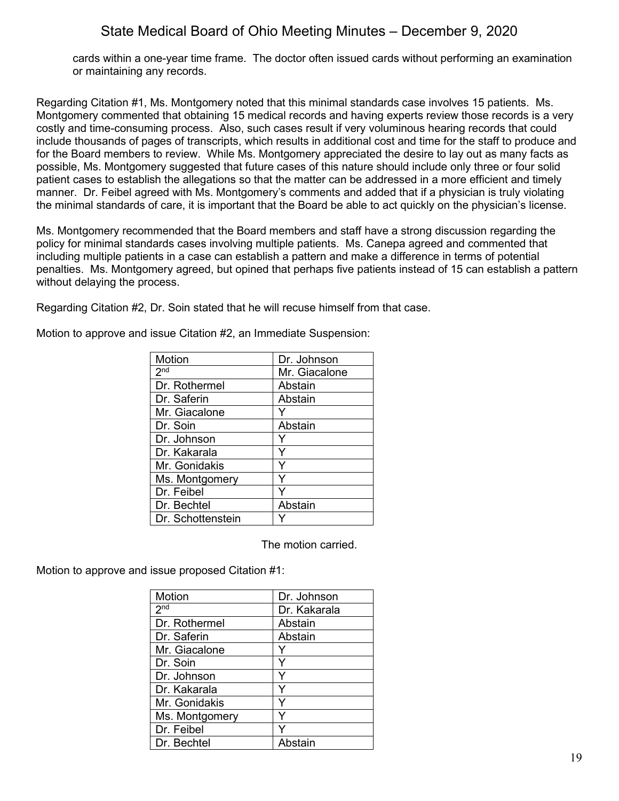cards within a one-year time frame. The doctor often issued cards without performing an examination or maintaining any records.

Regarding Citation #1, Ms. Montgomery noted that this minimal standards case involves 15 patients. Ms. Montgomery commented that obtaining 15 medical records and having experts review those records is a very costly and time-consuming process. Also, such cases result if very voluminous hearing records that could include thousands of pages of transcripts, which results in additional cost and time for the staff to produce and for the Board members to review. While Ms. Montgomery appreciated the desire to lay out as many facts as possible, Ms. Montgomery suggested that future cases of this nature should include only three or four solid patient cases to establish the allegations so that the matter can be addressed in a more efficient and timely manner. Dr. Feibel agreed with Ms. Montgomery's comments and added that if a physician is truly violating the minimal standards of care, it is important that the Board be able to act quickly on the physician's license.

Ms. Montgomery recommended that the Board members and staff have a strong discussion regarding the policy for minimal standards cases involving multiple patients. Ms. Canepa agreed and commented that including multiple patients in a case can establish a pattern and make a difference in terms of potential penalties. Ms. Montgomery agreed, but opined that perhaps five patients instead of 15 can establish a pattern without delaying the process.

Regarding Citation #2, Dr. Soin stated that he will recuse himself from that case.

| <b>Motion</b>     | Dr. Johnson   |
|-------------------|---------------|
| 2 <sub>nd</sub>   | Mr. Giacalone |
| Dr. Rothermel     | Abstain       |
| Dr. Saferin       | Abstain       |
| Mr. Giacalone     |               |
| Dr. Soin          | Abstain       |
| Dr. Johnson       |               |
| Dr. Kakarala      |               |
| Mr. Gonidakis     |               |
| Ms. Montgomery    |               |
| Dr. Feibel        |               |
| Dr. Bechtel       | Abstain       |
| Dr. Schottenstein |               |
|                   |               |

Motion to approve and issue Citation #2, an Immediate Suspension:

The motion carried.

Motion to approve and issue proposed Citation #1:

| Motion          | Dr. Johnson  |
|-----------------|--------------|
| 2 <sub>nd</sub> | Dr. Kakarala |
| Dr. Rothermel   | Abstain      |
| Dr. Saferin     | Abstain      |
| Mr. Giacalone   | Y            |
| Dr. Soin        | Y            |
| Dr. Johnson     | Y            |
| Dr. Kakarala    | Υ            |
| Mr. Gonidakis   | Y            |
| Ms. Montgomery  | Y            |
| Dr. Feibel      |              |
| Dr. Bechtel     | Abstain      |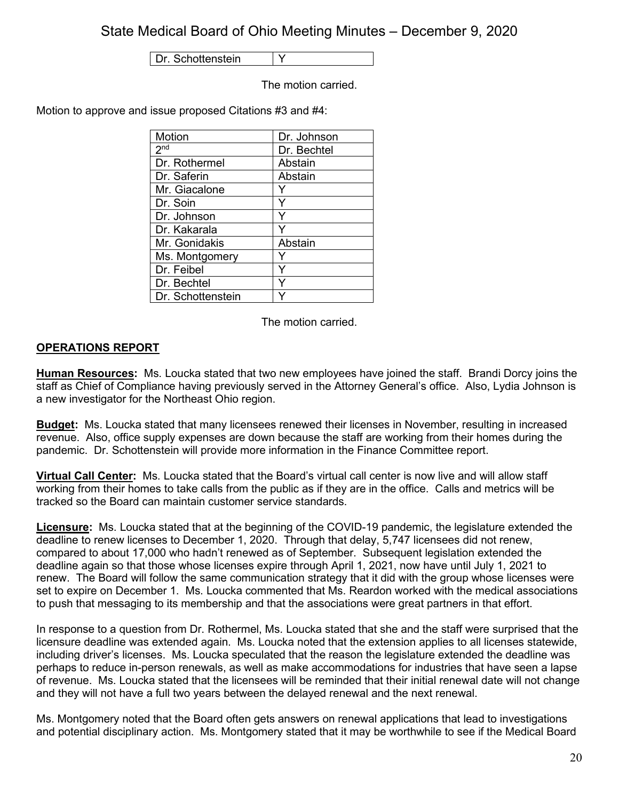Dr. Schottenstein | Y

The motion carried.

Motion to approve and issue proposed Citations #3 and #4:

| Motion            | Dr. Johnson |
|-------------------|-------------|
| 2 <sup>nd</sup>   | Dr. Bechtel |
| Dr. Rothermel     | Abstain     |
| Dr. Saferin       | Abstain     |
| Mr. Giacalone     |             |
| Dr. Soin          |             |
| Dr. Johnson       |             |
| Dr. Kakarala      |             |
| Mr. Gonidakis     | Abstain     |
| Ms. Montgomery    |             |
| Dr. Feibel        | ⋎           |
| Dr. Bechtel       | v           |
| Dr. Schottenstein |             |

The motion carried.

## **OPERATIONS REPORT**

**Human Resources:** Ms. Loucka stated that two new employees have joined the staff. Brandi Dorcy joins the staff as Chief of Compliance having previously served in the Attorney General's office. Also, Lydia Johnson is a new investigator for the Northeast Ohio region.

**Budget:** Ms. Loucka stated that many licensees renewed their licenses in November, resulting in increased revenue. Also, office supply expenses are down because the staff are working from their homes during the pandemic. Dr. Schottenstein will provide more information in the Finance Committee report.

**Virtual Call Center:** Ms. Loucka stated that the Board's virtual call center is now live and will allow staff working from their homes to take calls from the public as if they are in the office. Calls and metrics will be tracked so the Board can maintain customer service standards.

**Licensure:** Ms. Loucka stated that at the beginning of the COVID-19 pandemic, the legislature extended the deadline to renew licenses to December 1, 2020. Through that delay, 5,747 licensees did not renew, compared to about 17,000 who hadn't renewed as of September. Subsequent legislation extended the deadline again so that those whose licenses expire through April 1, 2021, now have until July 1, 2021 to renew. The Board will follow the same communication strategy that it did with the group whose licenses were set to expire on December 1. Ms. Loucka commented that Ms. Reardon worked with the medical associations to push that messaging to its membership and that the associations were great partners in that effort.

In response to a question from Dr. Rothermel, Ms. Loucka stated that she and the staff were surprised that the licensure deadline was extended again. Ms. Loucka noted that the extension applies to all licenses statewide, including driver's licenses. Ms. Loucka speculated that the reason the legislature extended the deadline was perhaps to reduce in-person renewals, as well as make accommodations for industries that have seen a lapse of revenue. Ms. Loucka stated that the licensees will be reminded that their initial renewal date will not change and they will not have a full two years between the delayed renewal and the next renewal.

Ms. Montgomery noted that the Board often gets answers on renewal applications that lead to investigations and potential disciplinary action. Ms. Montgomery stated that it may be worthwhile to see if the Medical Board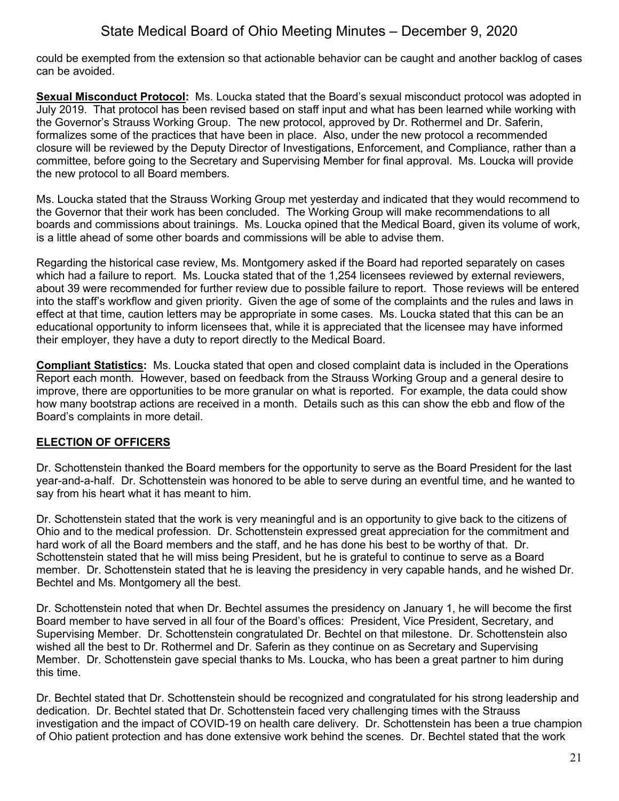could be exempted from the extension so that actionable behavior can be caught and another backlog of cases can be avoided.

**Sexual Misconduct Protocol:** Ms. Loucka stated that the Board's sexual misconduct protocol was adopted in July 2019. That protocol has been revised based on staff input and what has been learned while working with the Governor's Strauss Working Group. The new protocol, approved by Dr. Rothermel and Dr. Saferin, formalizes some of the practices that have been in place. Also, under the new protocol a recommended closure will be reviewed by the Deputy Director of Investigations, Enforcement, and Compliance, rather than a committee, before going to the Secretary and Supervising Member for final approval. Ms. Loucka will provide the new protocol to all Board members.

Ms. Loucka stated that the Strauss Working Group met yesterday and indicated that they would recommend to the Governor that their work has been concluded. The Working Group will make recommendations to all boards and commissions about trainings. Ms. Loucka opined that the Medical Board, given its volume of work, is a little ahead of some other boards and commissions will be able to advise them.

Regarding the historical case review, Ms. Montgomery asked if the Board had reported separately on cases which had a failure to report. Ms. Loucka stated that of the 1,254 licensees reviewed by external reviewers, about 39 were recommended for further review due to possible failure to report. Those reviews will be entered into the staff's workflow and given priority. Given the age of some of the complaints and the rules and laws in effect at that time, caution letters may be appropriate in some cases. Ms. Loucka stated that this can be an educational opportunity to inform licensees that, while it is appreciated that the licensee may have informed their employer, they have a duty to report directly to the Medical Board.

**Compliant Statistics:** Ms. Loucka stated that open and closed complaint data is included in the Operations Report each month. However, based on feedback from the Strauss Working Group and a general desire to improve, there are opportunities to be more granular on what is reported. For example, the data could show how many bootstrap actions are received in a month. Details such as this can show the ebb and flow of the Board's complaints in more detail.

## **ELECTION OF OFFICERS**

Dr. Schottenstein thanked the Board members for the opportunity to serve as the Board President for the last year-and-a-half. Dr. Schottenstein was honored to be able to serve during an eventful time, and he wanted to say from his heart what it has meant to him.

Dr. Schottenstein stated that the work is very meaningful and is an opportunity to give back to the citizens of Ohio and to the medical profession. Dr. Schottenstein expressed great appreciation for the commitment and hard work of all the Board members and the staff, and he has done his best to be worthy of that. Dr. Schottenstein stated that he will miss being President, but he is grateful to continue to serve as a Board member. Dr. Schottenstein stated that he is leaving the presidency in very capable hands, and he wished Dr. Bechtel and Ms. Montgomery all the best.

Dr. Schottenstein noted that when Dr. Bechtel assumes the presidency on January 1, he will become the first Board member to have served in all four of the Board's offices: President, Vice President, Secretary, and Supervising Member. Dr. Schottenstein congratulated Dr. Bechtel on that milestone. Dr. Schottenstein also wished all the best to Dr. Rothermel and Dr. Saferin as they continue on as Secretary and Supervising Member. Dr. Schottenstein gave special thanks to Ms. Loucka, who has been a great partner to him during this time.

Dr. Bechtel stated that Dr. Schottenstein should be recognized and congratulated for his strong leadership and dedication. Dr. Bechtel stated that Dr. Schottenstein faced very challenging times with the Strauss investigation and the impact of COVID-19 on health care delivery. Dr. Schottenstein has been a true champion of Ohio patient protection and has done extensive work behind the scenes. Dr. Bechtel stated that the work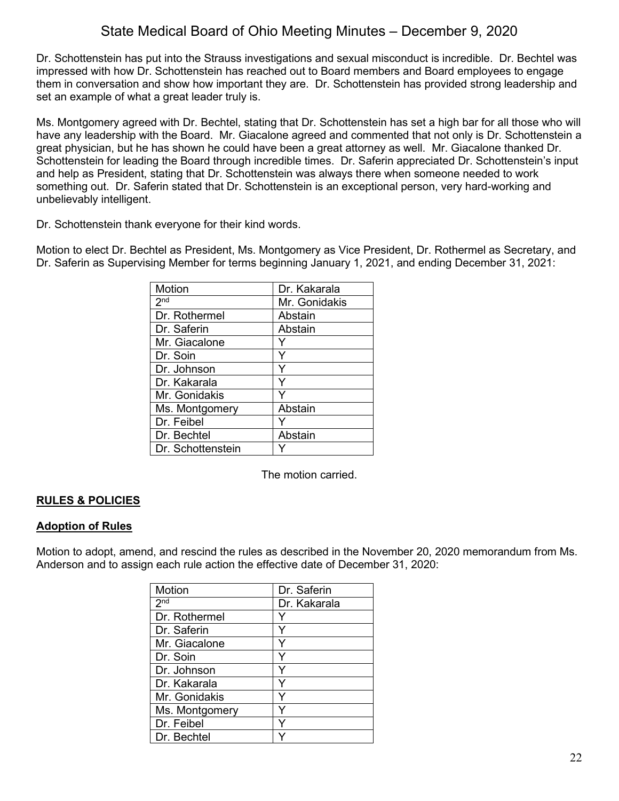Dr. Schottenstein has put into the Strauss investigations and sexual misconduct is incredible. Dr. Bechtel was impressed with how Dr. Schottenstein has reached out to Board members and Board employees to engage them in conversation and show how important they are. Dr. Schottenstein has provided strong leadership and set an example of what a great leader truly is.

Ms. Montgomery agreed with Dr. Bechtel, stating that Dr. Schottenstein has set a high bar for all those who will have any leadership with the Board. Mr. Giacalone agreed and commented that not only is Dr. Schottenstein a great physician, but he has shown he could have been a great attorney as well. Mr. Giacalone thanked Dr. Schottenstein for leading the Board through incredible times. Dr. Saferin appreciated Dr. Schottenstein's input and help as President, stating that Dr. Schottenstein was always there when someone needed to work something out. Dr. Saferin stated that Dr. Schottenstein is an exceptional person, very hard-working and unbelievably intelligent.

Dr. Schottenstein thank everyone for their kind words.

Motion to elect Dr. Bechtel as President, Ms. Montgomery as Vice President, Dr. Rothermel as Secretary, and Dr. Saferin as Supervising Member for terms beginning January 1, 2021, and ending December 31, 2021:

| Motion              | Dr. Kakarala  |
|---------------------|---------------|
| $2^{\overline{nd}}$ | Mr. Gonidakis |
| Dr. Rothermel       | Abstain       |
| Dr. Saferin         | Abstain       |
| Mr. Giacalone       |               |
| Dr. Soin            |               |
| Dr. Johnson         | Y             |
| Dr. Kakarala        | Y             |
| Mr. Gonidakis       |               |
| Ms. Montgomery      | Abstain       |
| Dr. Feibel          |               |
| Dr. Bechtel         | Abstain       |
| Dr. Schottenstein   |               |

The motion carried.

## **RULES & POLICIES**

## **Adoption of Rules**

Motion to adopt, amend, and rescind the rules as described in the November 20, 2020 memorandum from Ms. Anderson and to assign each rule action the effective date of December 31, 2020:

| Motion          | Dr. Saferin  |
|-----------------|--------------|
|                 |              |
| 2 <sub>nd</sub> | Dr. Kakarala |
| Dr. Rothermel   |              |
| Dr. Saferin     | ٧            |
| Mr. Giacalone   |              |
| Dr. Soin        | Y            |
| Dr. Johnson     |              |
| Dr. Kakarala    | Y            |
| Mr. Gonidakis   | Y            |
| Ms. Montgomery  | Y            |
| Dr. Feibel      | Y            |
| Dr. Bechtel     |              |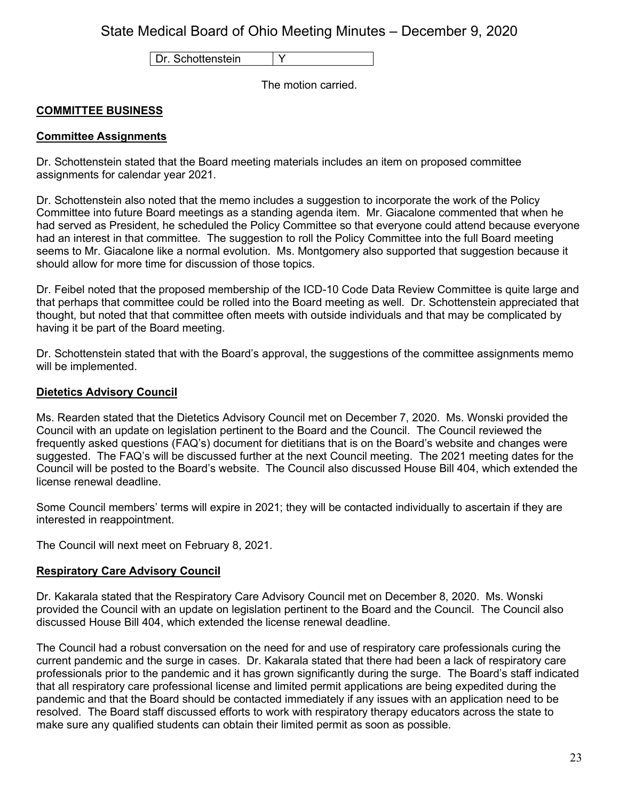Dr. Schottenstein | Y

The motion carried.

### **COMMITTEE BUSINESS**

### **Committee Assignments**

Dr. Schottenstein stated that the Board meeting materials includes an item on proposed committee assignments for calendar year 2021.

Dr. Schottenstein also noted that the memo includes a suggestion to incorporate the work of the Policy Committee into future Board meetings as a standing agenda item. Mr. Giacalone commented that when he had served as President, he scheduled the Policy Committee so that everyone could attend because everyone had an interest in that committee. The suggestion to roll the Policy Committee into the full Board meeting seems to Mr. Giacalone like a normal evolution. Ms. Montgomery also supported that suggestion because it should allow for more time for discussion of those topics.

Dr. Feibel noted that the proposed membership of the ICD-10 Code Data Review Committee is quite large and that perhaps that committee could be rolled into the Board meeting as well. Dr. Schottenstein appreciated that thought, but noted that that committee often meets with outside individuals and that may be complicated by having it be part of the Board meeting.

Dr. Schottenstein stated that with the Board's approval, the suggestions of the committee assignments memo will be implemented.

#### **Dietetics Advisory Council**

Ms. Rearden stated that the Dietetics Advisory Council met on December 7, 2020. Ms. Wonski provided the Council with an update on legislation pertinent to the Board and the Council. The Council reviewed the frequently asked questions (FAQ's) document for dietitians that is on the Board's website and changes were suggested. The FAQ's will be discussed further at the next Council meeting. The 2021 meeting dates for the Council will be posted to the Board's website. The Council also discussed House Bill 404, which extended the license renewal deadline.

Some Council members' terms will expire in 2021; they will be contacted individually to ascertain if they are interested in reappointment.

The Council will next meet on February 8, 2021.

### **Respiratory Care Advisory Council**

Dr. Kakarala stated that the Respiratory Care Advisory Council met on December 8, 2020. Ms. Wonski provided the Council with an update on legislation pertinent to the Board and the Council. The Council also discussed House Bill 404, which extended the license renewal deadline.

The Council had a robust conversation on the need for and use of respiratory care professionals curing the current pandemic and the surge in cases. Dr. Kakarala stated that there had been a lack of respiratory care professionals prior to the pandemic and it has grown significantly during the surge. The Board's staff indicated that all respiratory care professional license and limited permit applications are being expedited during the pandemic and that the Board should be contacted immediately if any issues with an application need to be resolved. The Board staff discussed efforts to work with respiratory therapy educators across the state to make sure any qualified students can obtain their limited permit as soon as possible.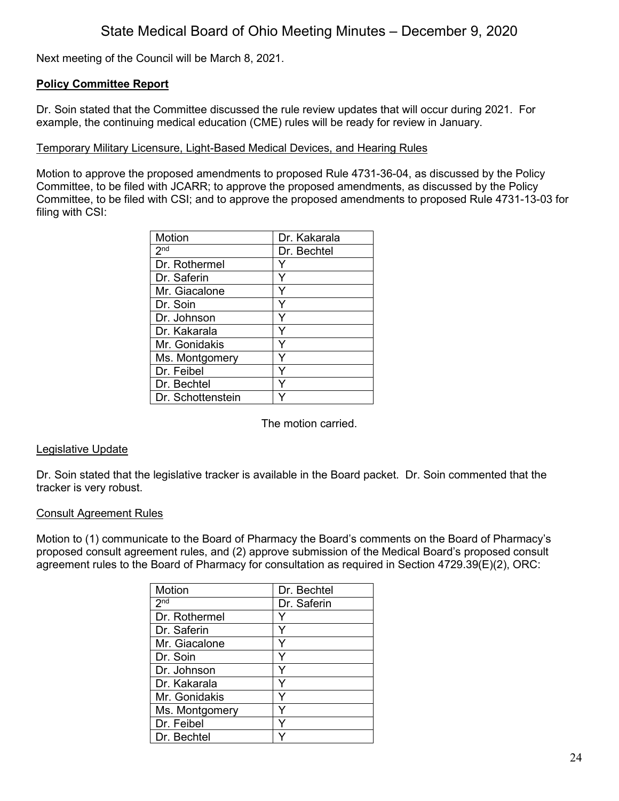Next meeting of the Council will be March 8, 2021.

#### **Policy Committee Report**

Dr. Soin stated that the Committee discussed the rule review updates that will occur during 2021. For example, the continuing medical education (CME) rules will be ready for review in January.

#### Temporary Military Licensure, Light-Based Medical Devices, and Hearing Rules

Motion to approve the proposed amendments to proposed Rule 4731-36-04, as discussed by the Policy Committee, to be filed with JCARR; to approve the proposed amendments, as discussed by the Policy Committee, to be filed with CSI; and to approve the proposed amendments to proposed Rule 4731-13-03 for filing with CSI:

| Motion            | Dr. Kakarala |
|-------------------|--------------|
| 2 <sup>nd</sup>   | Dr. Bechtel  |
| Dr. Rothermel     |              |
| Dr. Saferin       |              |
| Mr. Giacalone     |              |
| Dr. Soin          |              |
| Dr. Johnson       | Y            |
| Dr. Kakarala      | ٧            |
| Mr. Gonidakis     |              |
| Ms. Montgomery    |              |
| Dr. Feibel        |              |
| Dr. Bechtel       |              |
| Dr. Schottenstein |              |

The motion carried.

#### Legislative Update

Dr. Soin stated that the legislative tracker is available in the Board packet. Dr. Soin commented that the tracker is very robust.

#### Consult Agreement Rules

Motion to (1) communicate to the Board of Pharmacy the Board's comments on the Board of Pharmacy's proposed consult agreement rules, and (2) approve submission of the Medical Board's proposed consult agreement rules to the Board of Pharmacy for consultation as required in Section 4729.39(E)(2), ORC:

| Motion          | Dr. Bechtel |
|-----------------|-------------|
| 2 <sup>nd</sup> | Dr. Saferin |
| Dr. Rothermel   |             |
| Dr. Saferin     |             |
| Mr. Giacalone   | ٧           |
| Dr. Soin        |             |
| Dr. Johnson     | ٧           |
| Dr. Kakarala    | Y           |
| Mr. Gonidakis   | Y           |
| Ms. Montgomery  | Y           |
| Dr. Feibel      | Y           |
| Dr. Bechtel     |             |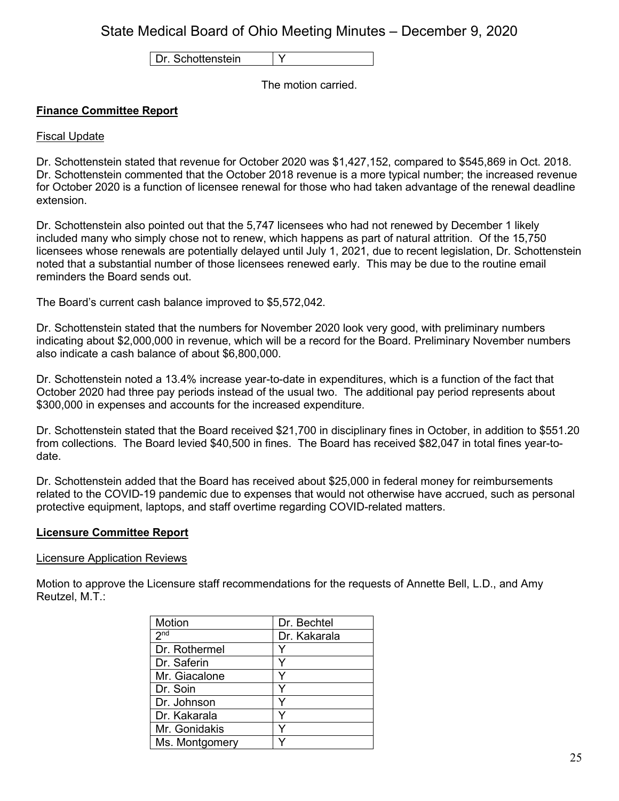Dr. Schottenstein Y

The motion carried.

## **Finance Committee Report**

### Fiscal Update

Dr. Schottenstein stated that revenue for October 2020 was \$1,427,152, compared to \$545,869 in Oct. 2018. Dr. Schottenstein commented that the October 2018 revenue is a more typical number; the increased revenue for October 2020 is a function of licensee renewal for those who had taken advantage of the renewal deadline extension.

Dr. Schottenstein also pointed out that the 5,747 licensees who had not renewed by December 1 likely included many who simply chose not to renew, which happens as part of natural attrition. Of the 15,750 licensees whose renewals are potentially delayed until July 1, 2021, due to recent legislation, Dr. Schottenstein noted that a substantial number of those licensees renewed early. This may be due to the routine email reminders the Board sends out.

The Board's current cash balance improved to \$5,572,042.

Dr. Schottenstein stated that the numbers for November 2020 look very good, with preliminary numbers indicating about \$2,000,000 in revenue, which will be a record for the Board. Preliminary November numbers also indicate a cash balance of about \$6,800,000.

Dr. Schottenstein noted a 13.4% increase year-to-date in expenditures, which is a function of the fact that October 2020 had three pay periods instead of the usual two. The additional pay period represents about \$300,000 in expenses and accounts for the increased expenditure.

Dr. Schottenstein stated that the Board received \$21,700 in disciplinary fines in October, in addition to \$551.20 from collections. The Board levied \$40,500 in fines. The Board has received \$82,047 in total fines year-todate.

Dr. Schottenstein added that the Board has received about \$25,000 in federal money for reimbursements related to the COVID-19 pandemic due to expenses that would not otherwise have accrued, such as personal protective equipment, laptops, and staff overtime regarding COVID-related matters.

### **Licensure Committee Report**

#### Licensure Application Reviews

Motion to approve the Licensure staff recommendations for the requests of Annette Bell, L.D., and Amy Reutzel, M.T.:

| Motion          | Dr. Bechtel  |
|-----------------|--------------|
| 2 <sub>nd</sub> | Dr. Kakarala |
| Dr. Rothermel   |              |
| Dr. Saferin     |              |
| Mr. Giacalone   |              |
| Dr. Soin        |              |
| Dr. Johnson     |              |
| Dr. Kakarala    |              |
| Mr. Gonidakis   |              |
| Ms. Montgomery  |              |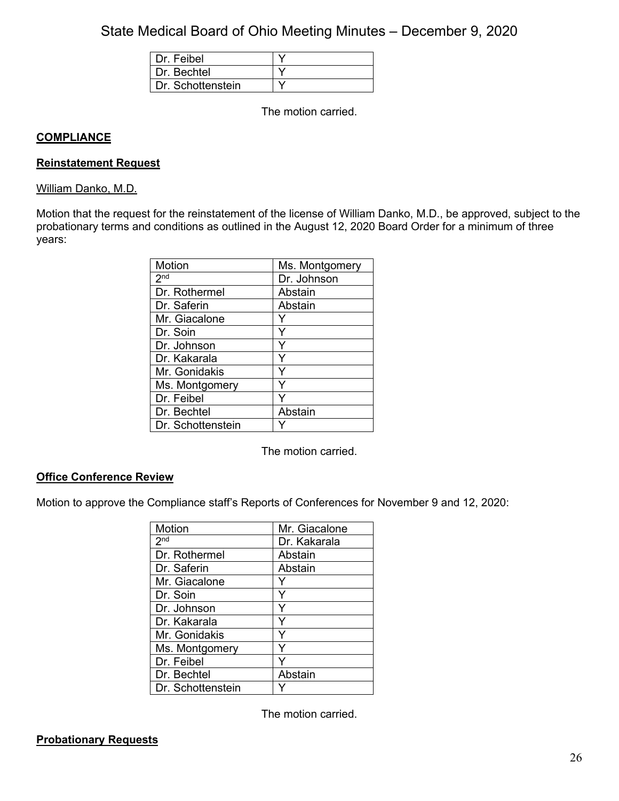| Dr. Feibel        |  |
|-------------------|--|
| Dr. Bechtel       |  |
| Dr. Schottenstein |  |

The motion carried.

### **COMPLIANCE**

#### **Reinstatement Request**

#### William Danko, M.D.

Motion that the request for the reinstatement of the license of William Danko, M.D., be approved, subject to the probationary terms and conditions as outlined in the August 12, 2020 Board Order for a minimum of three years:

| Motion            | Ms. Montgomery |
|-------------------|----------------|
| 2 <sub>nd</sub>   | Dr. Johnson    |
| Dr. Rothermel     | Abstain        |
| Dr. Saferin       | Abstain        |
| Mr. Giacalone     |                |
| Dr. Soin          | Y              |
| Dr. Johnson       | Y              |
| Dr. Kakarala      | Υ              |
| Mr. Gonidakis     | ٧              |
| Ms. Montgomery    |                |
| Dr. Feibel        |                |
| Dr. Bechtel       | Abstain        |
| Dr. Schottenstein |                |

The motion carried.

### **Office Conference Review**

Motion to approve the Compliance staff's Reports of Conferences for November 9 and 12, 2020:

| Motion              | Mr. Giacalone |
|---------------------|---------------|
| $2^{\overline{nd}}$ | Dr. Kakarala  |
| Dr. Rothermel       | Abstain       |
| Dr. Saferin         | Abstain       |
| Mr. Giacalone       |               |
| Dr. Soin            |               |
| Dr. Johnson         |               |
| Dr. Kakarala        | Υ             |
| Mr. Gonidakis       | v             |
| Ms. Montgomery      |               |
| Dr. Feibel          |               |
| Dr. Bechtel         | Abstain       |
| Dr. Schottenstein   |               |

The motion carried.

### **Probationary Requests**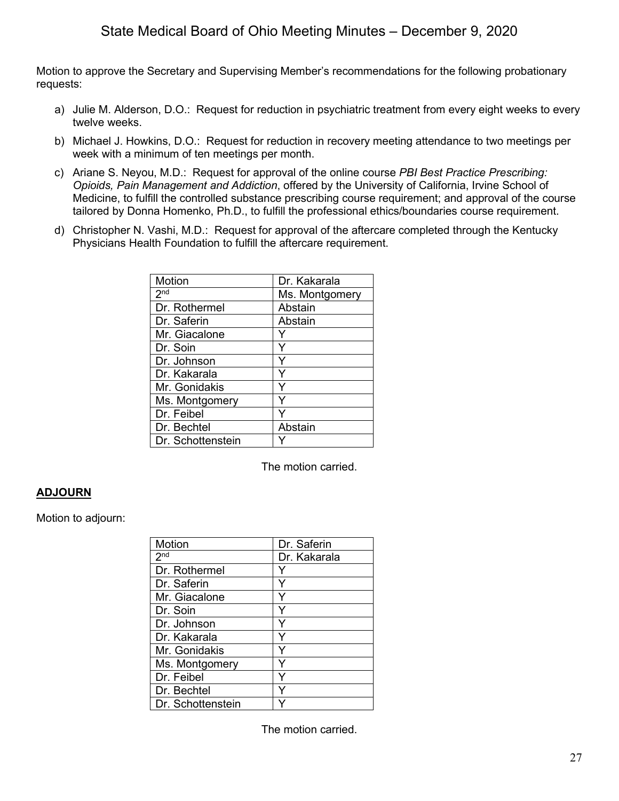Motion to approve the Secretary and Supervising Member's recommendations for the following probationary requests:

- a) Julie M. Alderson, D.O.: Request for reduction in psychiatric treatment from every eight weeks to every twelve weeks.
- b) Michael J. Howkins, D.O.: Request for reduction in recovery meeting attendance to two meetings per week with a minimum of ten meetings per month.
- c) Ariane S. Neyou, M.D.: Request for approval of the online course *PBI Best Practice Prescribing: Opioids, Pain Management and Addiction*, offered by the University of California, Irvine School of Medicine, to fulfill the controlled substance prescribing course requirement; and approval of the course tailored by Donna Homenko, Ph.D., to fulfill the professional ethics/boundaries course requirement.
- d) Christopher N. Vashi, M.D.: Request for approval of the aftercare completed through the Kentucky Physicians Health Foundation to fulfill the aftercare requirement.

| Motion            | Dr. Kakarala   |
|-------------------|----------------|
| 2 <sup>nd</sup>   | Ms. Montgomery |
| Dr. Rothermel     | Abstain        |
| Dr. Saferin       | Abstain        |
| Mr. Giacalone     |                |
| Dr. Soin          | Y              |
| Dr. Johnson       |                |
| Dr. Kakarala      | Υ              |
| Mr. Gonidakis     | Y              |
| Ms. Montgomery    |                |
| Dr. Feibel        |                |
| Dr. Bechtel       | Abstain        |
| Dr. Schottenstein |                |

The motion carried.

## **ADJOURN**

Motion to adjourn:

| Motion            | Dr. Saferin  |
|-------------------|--------------|
| 2 <sup>nd</sup>   | Dr. Kakarala |
| Dr. Rothermel     | Y            |
| Dr. Saferin       | Y            |
| Mr. Giacalone     | Y            |
| Dr. Soin          |              |
| Dr. Johnson       | Y            |
| Dr. Kakarala      | Y            |
| Mr. Gonidakis     | Y            |
| Ms. Montgomery    |              |
| Dr. Feibel        | Y            |
| Dr. Bechtel       |              |
| Dr. Schottenstein |              |

The motion carried.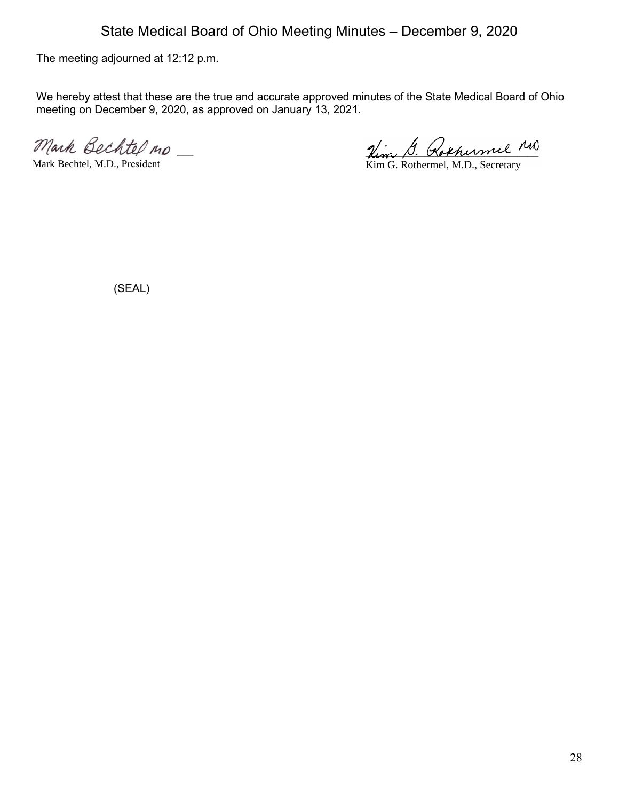The meeting adjourned at 12:12 p.m.

We hereby attest that these are the true and accurate approved minutes of the State Medical Board of Ohio meeting on December 9, 2020, as approved on January 13, 2021.

Mark Bechtel no

Mark Bechtel, M.D., President

Hem D. Rokhermel

Kim G. Rothermel, M.D., Secretary

(SEAL)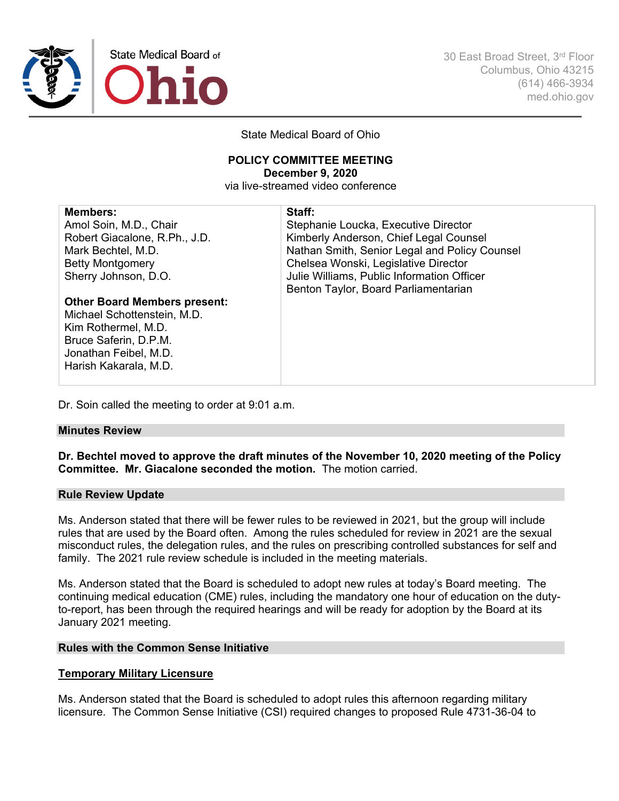

30 East Broad Street, 3rd Floor Columbus, Ohio 43215 (614) 466-3934 med.ohio.gov

State Medical Board of Ohio

#### **POLICY COMMITTEE MEETING December 9, 2020** via live-streamed video conference

| <b>Members:</b>                     | Staff:                                        |
|-------------------------------------|-----------------------------------------------|
| Amol Soin, M.D., Chair              | Stephanie Loucka, Executive Director          |
| Robert Giacalone, R.Ph., J.D.       | Kimberly Anderson, Chief Legal Counsel        |
| Mark Bechtel, M.D.                  | Nathan Smith, Senior Legal and Policy Counsel |
| <b>Betty Montgomery</b>             | Chelsea Wonski, Legislative Director          |
| Sherry Johnson, D.O.                | Julie Williams, Public Information Officer    |
|                                     | Benton Taylor, Board Parliamentarian          |
| <b>Other Board Members present:</b> |                                               |
| Michael Schottenstein, M.D.         |                                               |
| Kim Rothermel, M.D.                 |                                               |
| Bruce Saferin, D.P.M.               |                                               |
| Jonathan Feibel, M.D.               |                                               |
| Harish Kakarala, M.D.               |                                               |
|                                     |                                               |

Dr. Soin called the meeting to order at 9:01 a.m.

#### **Minutes Review**

**Dr. Bechtel moved to approve the draft minutes of the November 10, 2020 meeting of the Policy Committee. Mr. Giacalone seconded the motion.** The motion carried.

#### **Rule Review Update**

Ms. Anderson stated that there will be fewer rules to be reviewed in 2021, but the group will include rules that are used by the Board often. Among the rules scheduled for review in 2021 are the sexual misconduct rules, the delegation rules, and the rules on prescribing controlled substances for self and family. The 2021 rule review schedule is included in the meeting materials.

Ms. Anderson stated that the Board is scheduled to adopt new rules at today's Board meeting. The continuing medical education (CME) rules, including the mandatory one hour of education on the dutyto-report, has been through the required hearings and will be ready for adoption by the Board at its January 2021 meeting.

#### **Rules with the Common Sense Initiative**

#### **Temporary Military Licensure**

Ms. Anderson stated that the Board is scheduled to adopt rules this afternoon regarding military licensure. The Common Sense Initiative (CSI) required changes to proposed Rule 4731-36-04 to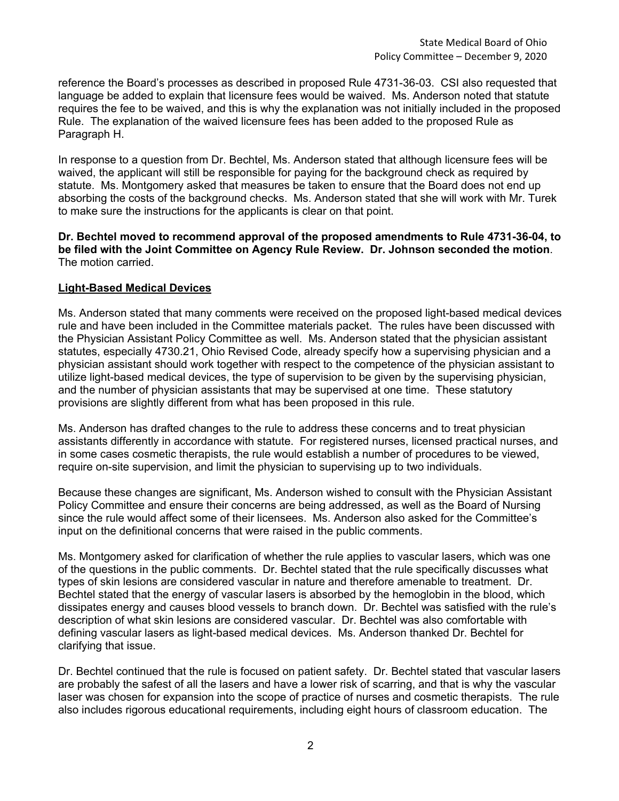reference the Board's processes as described in proposed Rule 4731-36-03. CSI also requested that language be added to explain that licensure fees would be waived. Ms. Anderson noted that statute requires the fee to be waived, and this is why the explanation was not initially included in the proposed Rule. The explanation of the waived licensure fees has been added to the proposed Rule as Paragraph H.

In response to a question from Dr. Bechtel, Ms. Anderson stated that although licensure fees will be waived, the applicant will still be responsible for paying for the background check as required by statute. Ms. Montgomery asked that measures be taken to ensure that the Board does not end up absorbing the costs of the background checks. Ms. Anderson stated that she will work with Mr. Turek to make sure the instructions for the applicants is clear on that point.

#### **Dr. Bechtel moved to recommend approval of the proposed amendments to Rule 4731-36-04, to be filed with the Joint Committee on Agency Rule Review. Dr. Johnson seconded the motion**. The motion carried.

### **Light-Based Medical Devices**

Ms. Anderson stated that many comments were received on the proposed light-based medical devices rule and have been included in the Committee materials packet. The rules have been discussed with the Physician Assistant Policy Committee as well. Ms. Anderson stated that the physician assistant statutes, especially 4730.21, Ohio Revised Code, already specify how a supervising physician and a physician assistant should work together with respect to the competence of the physician assistant to utilize light-based medical devices, the type of supervision to be given by the supervising physician, and the number of physician assistants that may be supervised at one time. These statutory provisions are slightly different from what has been proposed in this rule.

Ms. Anderson has drafted changes to the rule to address these concerns and to treat physician assistants differently in accordance with statute. For registered nurses, licensed practical nurses, and in some cases cosmetic therapists, the rule would establish a number of procedures to be viewed, require on-site supervision, and limit the physician to supervising up to two individuals.

Because these changes are significant, Ms. Anderson wished to consult with the Physician Assistant Policy Committee and ensure their concerns are being addressed, as well as the Board of Nursing since the rule would affect some of their licensees. Ms. Anderson also asked for the Committee's input on the definitional concerns that were raised in the public comments.

Ms. Montgomery asked for clarification of whether the rule applies to vascular lasers, which was one of the questions in the public comments. Dr. Bechtel stated that the rule specifically discusses what types of skin lesions are considered vascular in nature and therefore amenable to treatment. Dr. Bechtel stated that the energy of vascular lasers is absorbed by the hemoglobin in the blood, which dissipates energy and causes blood vessels to branch down. Dr. Bechtel was satisfied with the rule's description of what skin lesions are considered vascular. Dr. Bechtel was also comfortable with defining vascular lasers as light-based medical devices. Ms. Anderson thanked Dr. Bechtel for clarifying that issue.

Dr. Bechtel continued that the rule is focused on patient safety. Dr. Bechtel stated that vascular lasers are probably the safest of all the lasers and have a lower risk of scarring, and that is why the vascular laser was chosen for expansion into the scope of practice of nurses and cosmetic therapists. The rule also includes rigorous educational requirements, including eight hours of classroom education. The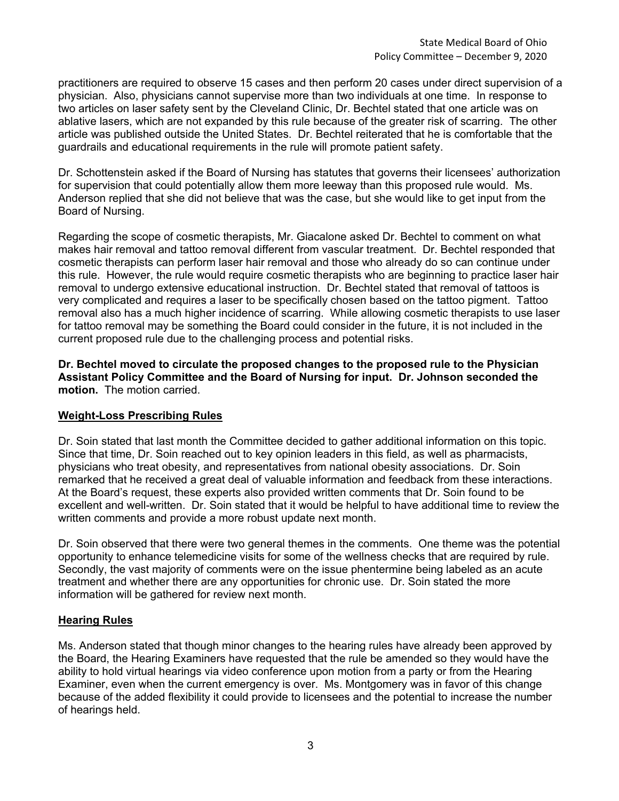practitioners are required to observe 15 cases and then perform 20 cases under direct supervision of a physician. Also, physicians cannot supervise more than two individuals at one time. In response to two articles on laser safety sent by the Cleveland Clinic, Dr. Bechtel stated that one article was on ablative lasers, which are not expanded by this rule because of the greater risk of scarring. The other article was published outside the United States. Dr. Bechtel reiterated that he is comfortable that the guardrails and educational requirements in the rule will promote patient safety.

Dr. Schottenstein asked if the Board of Nursing has statutes that governs their licensees' authorization for supervision that could potentially allow them more leeway than this proposed rule would. Ms. Anderson replied that she did not believe that was the case, but she would like to get input from the Board of Nursing.

Regarding the scope of cosmetic therapists, Mr. Giacalone asked Dr. Bechtel to comment on what makes hair removal and tattoo removal different from vascular treatment. Dr. Bechtel responded that cosmetic therapists can perform laser hair removal and those who already do so can continue under this rule. However, the rule would require cosmetic therapists who are beginning to practice laser hair removal to undergo extensive educational instruction. Dr. Bechtel stated that removal of tattoos is very complicated and requires a laser to be specifically chosen based on the tattoo pigment. Tattoo removal also has a much higher incidence of scarring. While allowing cosmetic therapists to use laser for tattoo removal may be something the Board could consider in the future, it is not included in the current proposed rule due to the challenging process and potential risks.

**Dr. Bechtel moved to circulate the proposed changes to the proposed rule to the Physician Assistant Policy Committee and the Board of Nursing for input. Dr. Johnson seconded the motion.** The motion carried.

### **Weight-Loss Prescribing Rules**

Dr. Soin stated that last month the Committee decided to gather additional information on this topic. Since that time, Dr. Soin reached out to key opinion leaders in this field, as well as pharmacists, physicians who treat obesity, and representatives from national obesity associations. Dr. Soin remarked that he received a great deal of valuable information and feedback from these interactions. At the Board's request, these experts also provided written comments that Dr. Soin found to be excellent and well-written. Dr. Soin stated that it would be helpful to have additional time to review the written comments and provide a more robust update next month.

Dr. Soin observed that there were two general themes in the comments. One theme was the potential opportunity to enhance telemedicine visits for some of the wellness checks that are required by rule. Secondly, the vast majority of comments were on the issue phentermine being labeled as an acute treatment and whether there are any opportunities for chronic use. Dr. Soin stated the more information will be gathered for review next month.

### **Hearing Rules**

Ms. Anderson stated that though minor changes to the hearing rules have already been approved by the Board, the Hearing Examiners have requested that the rule be amended so they would have the ability to hold virtual hearings via video conference upon motion from a party or from the Hearing Examiner, even when the current emergency is over. Ms. Montgomery was in favor of this change because of the added flexibility it could provide to licensees and the potential to increase the number of hearings held.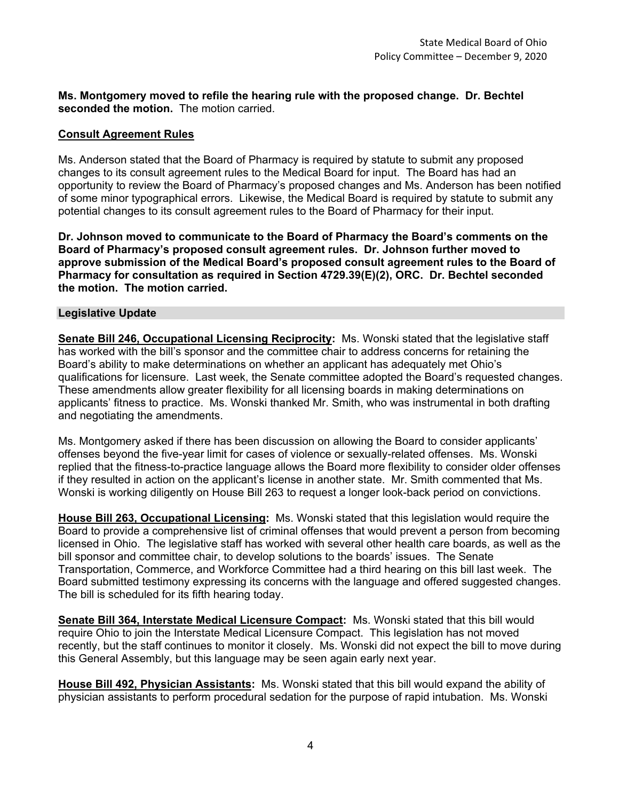**Ms. Montgomery moved to refile the hearing rule with the proposed change. Dr. Bechtel seconded the motion.** The motion carried.

#### **Consult Agreement Rules**

Ms. Anderson stated that the Board of Pharmacy is required by statute to submit any proposed changes to its consult agreement rules to the Medical Board for input. The Board has had an opportunity to review the Board of Pharmacy's proposed changes and Ms. Anderson has been notified of some minor typographical errors. Likewise, the Medical Board is required by statute to submit any potential changes to its consult agreement rules to the Board of Pharmacy for their input.

**Dr. Johnson moved to communicate to the Board of Pharmacy the Board's comments on the Board of Pharmacy's proposed consult agreement rules. Dr. Johnson further moved to approve submission of the Medical Board's proposed consult agreement rules to the Board of Pharmacy for consultation as required in Section 4729.39(E)(2), ORC. Dr. Bechtel seconded the motion. The motion carried.**

#### **Legislative Update**

**Senate Bill 246, Occupational Licensing Reciprocity:** Ms. Wonski stated that the legislative staff has worked with the bill's sponsor and the committee chair to address concerns for retaining the Board's ability to make determinations on whether an applicant has adequately met Ohio's qualifications for licensure. Last week, the Senate committee adopted the Board's requested changes. These amendments allow greater flexibility for all licensing boards in making determinations on applicants' fitness to practice. Ms. Wonski thanked Mr. Smith, who was instrumental in both drafting and negotiating the amendments.

Ms. Montgomery asked if there has been discussion on allowing the Board to consider applicants' offenses beyond the five-year limit for cases of violence or sexually-related offenses. Ms. Wonski replied that the fitness-to-practice language allows the Board more flexibility to consider older offenses if they resulted in action on the applicant's license in another state. Mr. Smith commented that Ms. Wonski is working diligently on House Bill 263 to request a longer look-back period on convictions.

**House Bill 263, Occupational Licensing:** Ms. Wonski stated that this legislation would require the Board to provide a comprehensive list of criminal offenses that would prevent a person from becoming licensed in Ohio. The legislative staff has worked with several other health care boards, as well as the bill sponsor and committee chair, to develop solutions to the boards' issues. The Senate Transportation, Commerce, and Workforce Committee had a third hearing on this bill last week. The Board submitted testimony expressing its concerns with the language and offered suggested changes. The bill is scheduled for its fifth hearing today.

**Senate Bill 364, Interstate Medical Licensure Compact:** Ms. Wonski stated that this bill would require Ohio to join the Interstate Medical Licensure Compact. This legislation has not moved recently, but the staff continues to monitor it closely. Ms. Wonski did not expect the bill to move during this General Assembly, but this language may be seen again early next year.

**House Bill 492, Physician Assistants:** Ms. Wonski stated that this bill would expand the ability of physician assistants to perform procedural sedation for the purpose of rapid intubation. Ms. Wonski